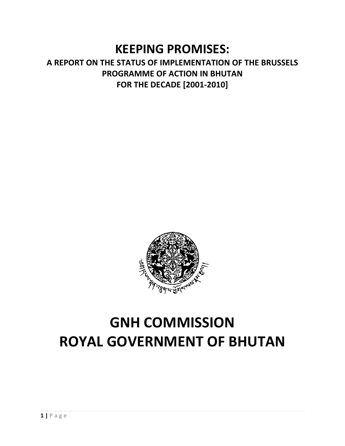# KEEPING PROMISES:

# A REPORT ON THE STATUS OF IMPLEMENTATION OF THE BRUSSELS PROGRAMME OF ACTION IN BHUTAN FOR THE DECADE [2001-2010]



# GNH COMMISSION ROYAL GOVERNMENT OF BHUTAN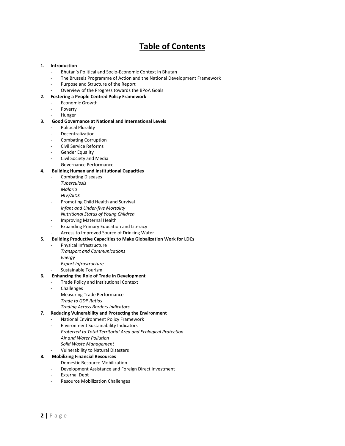# Table of Contents

#### 1. Introduction

- Bhutan's Political and Socio-Economic Context in Bhutan
- The Brussels Programme of Action and the National Development Framework
- Purpose and Structure of the Report
- Overview of the Progress towards the BPoA Goals

#### 2. Fostering a People Centred Policy Framework

- Economic Growth
- Poverty
- **Hunger**

#### 3. Good Governance at National and International Levels

- Political Plurality
- **Decentralization**
- Combating Corruption
- Civil Service Reforms
- Gender Equality
- Civil Society and Media
- Governance Performance

#### 4. Building Human and Institutional Capacities

- Combating Diseases
	- Tuberculosis Malaria
	- HIV/AIDS
- Promoting Child Health and Survival Infant and Under-five Mortality Nutritional Status of Young Children
- Improving Maternal Health
- Expanding Primary Education and Literacy
- Access to Improved Source of Drinking Water
- 5. Building Productive Capacities to Make Globalization Work for LDCs
	- Physical Infrastructure
		- Transport and Communications
		- Energy
			- Export Infrastructure
		- Sustainable Tourism

#### 6. Enhancing the Role of Trade in Development

- Trade Policy and Institutional Context
- **Challenges**
- Measuring Trade Performance
	- Trade to GDP Ratios
	- Trading Across Borders Indicators

#### 7. Reducing Vulnerability and Protecting the Environment

- National Environment Policy Framework
- Environment Sustainability Indicators Protected to Total Territorial Area and Ecological Protection Air and Water Pollution Solid Waste Management
- Vulnerability to Natural Disasters

# 8. Mobilizing Financial Resources

- Domestic Resource Mobilization
- Development Assistance and Foreign Direct Investment
- External Debt
- Resource Mobilization Challenges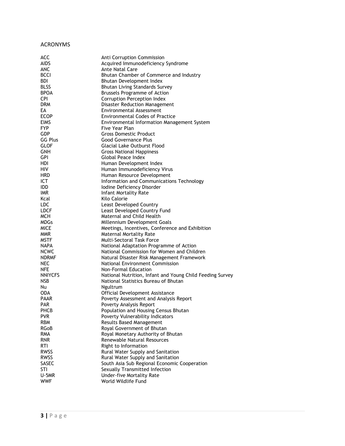# ACRONYMS

| <b>ACC</b>       | Anti Corruption Commission                                                                        |
|------------------|---------------------------------------------------------------------------------------------------|
| AIDS             | Acquired Immunodeficiency Syndrome                                                                |
| <b>ANC</b>       | Ante Natal Care                                                                                   |
| <b>BCCI</b>      | Bhutan Chamber of Commerce and Industry                                                           |
| BDI.             | Bhutan Development Index                                                                          |
| <b>BLSS</b>      | <b>Bhutan Living Standards Survey</b>                                                             |
| <b>BPOA</b>      | Brussels Programme of Action                                                                      |
| <b>CPI</b>       | Corruption Perception Index                                                                       |
| <b>DRM</b>       |                                                                                                   |
|                  | Disaster Reduction Management                                                                     |
| EA               | Environmental Assessment                                                                          |
| <b>ECOP</b>      | <b>Environmental Codes of Practice</b>                                                            |
| <b>EIMS</b>      | Environmental Information Management System                                                       |
| <b>FYP</b>       | Five Year Plan                                                                                    |
| <b>GDP</b>       | <b>Gross Domestic Product</b>                                                                     |
| <b>GG Plus</b>   | Good Governance Plus                                                                              |
| <b>GLOF</b>      | <b>Glacial Lake Outburst Flood</b>                                                                |
| GNH              | <b>Gross National Happiness</b>                                                                   |
| <b>GPI</b>       | Global Peace Index                                                                                |
| <b>HDI</b>       | Human Development Index                                                                           |
| <b>HIV</b>       | Human Immunodeficiency Virus                                                                      |
| <b>HRD</b>       | Human Resource Development                                                                        |
| <b>ICT</b>       | Information and Communications Technology                                                         |
| <b>IDD</b>       | Iodine Deficiency Disorder                                                                        |
| <b>IMR</b>       | <b>Infant Mortality Rate</b>                                                                      |
| Kcal             | Kilo Calorie                                                                                      |
| <b>LDC</b>       | Least Developed Country                                                                           |
| <b>LDCF</b>      | Least Developed Country Fund                                                                      |
| <b>MCH</b>       | Maternal and Child Health                                                                         |
| <b>MDGs</b>      | Millennium Development Goals                                                                      |
| <b>MICE</b>      | Meetings, Incentives, Conference and Exhibition                                                   |
| <b>MMR</b>       | <b>Maternal Mortality Rate</b>                                                                    |
| <b>MSTF</b>      | Multi-Sectoral Task Force                                                                         |
| <b>NAPA</b>      | National Adaptation Programme of Action                                                           |
| <b>NCWC</b>      | National Commission for Women and Children                                                        |
| <b>NDRMF</b>     | Natural Disaster Risk Management Framework                                                        |
| NEC              | National Environment Commission                                                                   |
| <b>NFE</b>       | Non-Formal Education                                                                              |
| <b>NNIYCFS</b>   |                                                                                                   |
|                  | National Nutrition, Infant and Young Child Feeding Survey<br>National Statistics Bureau of Bhutan |
| NSB              |                                                                                                   |
| Nu<br><b>ODA</b> | Ngultrum                                                                                          |
|                  | Official Development Assistance                                                                   |
| <b>PAAR</b>      | Poverty Assessment and Analysis Report                                                            |
| <b>PAR</b>       | Poverty Analysis Report                                                                           |
| PHCB             | Population and Housing Census Bhutan                                                              |
| <b>PVR</b>       | Poverty Vulnerability Indicators                                                                  |
| <b>RBM</b>       | <b>Results Based Management</b>                                                                   |
| RGoB             | Royal Government of Bhutan                                                                        |
| <b>RMA</b>       | Royal Monetary Authority of Bhutan                                                                |
| <b>RNR</b>       | Renewable Natural Resources                                                                       |
| <b>RTI</b>       | Right to Information                                                                              |
| <b>RWSS</b>      | Rural Water Supply and Sanitation                                                                 |
| <b>RWSS</b>      | Rural Water Supply and Sanitation                                                                 |
| <b>SASEC</b>     | South Asia Sub Regional Economic Cooperation                                                      |
| <b>STI</b>       | Sexually Transmitted Infection                                                                    |
| U-5MR            | <b>Under-five Mortality Rate</b>                                                                  |
| <b>WWF</b>       | World Wildlife Fund                                                                               |
|                  |                                                                                                   |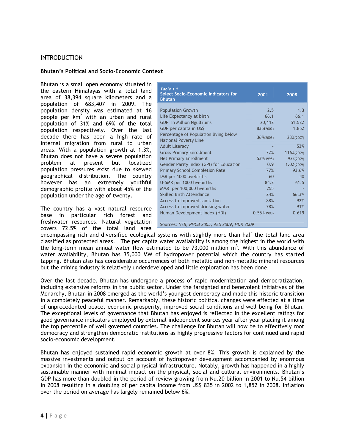# INTRODUCTION

#### Bhutan's Political and Socio-Economic Context

Bhutan is a small open economy situated in the eastern Himalayas with a total land area of 38,394 square kilometers and a population of 683,407 in 2009. The population density was estimated at 16 people per  $km^2$  with an urban and rural population of 31% and 69% of the total population respectively. Over the last decade there has been a high rate of internal migration from rural to urban areas. With a population growth at 1.3%, Bhutan does not have a severe population problem at present but localized population pressures exist due to skewed geographical distribution. The country however has an extremely youthful demographic profile with about 45% of the population under the age of twenty.

The country has a vast natural resource base in particular rich forest and freshwater resources. Natural vegetation covers 72.5% of the total land area

| Table 1.1<br><b>Select Socio-Economic Indicators for</b><br><b>Bhutan</b> | 2001             | 2008       |
|---------------------------------------------------------------------------|------------------|------------|
| <b>Population Growth</b>                                                  | 2.5              | 1.3        |
| Life Expectancy at birth                                                  | 66.1             | 66.1       |
| <b>GDP</b> in Million Ngultrums                                           | 20,112           | 51,522     |
| GDP per capita in US\$                                                    | 835(2002)        | 1,852      |
| Percentage of Population living below<br><b>National Poverty Line</b>     | $36\% (2003)$    | 23%(2007)  |
| <b>Adult Literacy</b>                                                     |                  | 53%        |
| <b>Gross Primary Enrollment</b>                                           | 72%              | 116%(2009) |
| <b>Net Primary Enrollment</b>                                             | 53%(1998)        | 92%(2009)  |
| Gender Parity Index (GPI) for Education                                   | 0.9 <sup>°</sup> | 1.02(2009) |
| <b>Primary School Completion Rate</b>                                     | 77%              | 93.6%      |
| IMR per 1000 livebirths                                                   | 60               | 40         |
| U-5MR per 1000 livebirths                                                 | 84.2             | 61.5       |
| MMR per 100,000 livebirths                                                | 255              |            |
| <b>Skilled Birth Attendance</b>                                           | 24%              | 66.3%      |
| Access to improved sanitation                                             | 88%              | 92%        |
| Access to improved drinking water                                         | 78%              | 91%        |
| Human Development Index (HDI)                                             | 0.551(1998)      | 0.619      |
| $C_{\text{maxmax}}$ MCD<br>$ATC$ 2000 UDD 2000<br>DUCD                    |                  |            |

Sources: NSB, PHCB 2005, AES 2009, HDR 2009

encompassing rich and diversified ecological systems with slightly more than half the total land area classified as protected areas. The per capita water availability is among the highest in the world with the long-term mean annual water flow estimated to be 73,000 million  $m<sup>3</sup>$ . With this abundance of water availability, Bhutan has 35,000 MW of hydropower potential which the country has started tapping. Bhutan also has considerable occurrences of both metallic and non-metallic mineral resources but the mining industry is relatively underdeveloped and little exploration has been done.

Over the last decade, Bhutan has undergone a process of rapid modernization and democratization, including extensive reforms in the public sector. Under the farsighted and benevolent initiatives of the Monarchy, Bhutan in 2008 emerged as the world's youngest democracy and made this historic transition in a completely peaceful manner. Remarkably, these historic political changes were effected at a time of unprecedented peace, economic prosperity, improved social conditions and well being for Bhutan. The exceptional levels of governance that Bhutan has enjoyed is reflected in the excellent ratings for good governance indicators employed by external independent sources year after year placing it among the top percentile of well governed countries. The challenge for Bhutan will now be to effectively root democracy and strengthen democratic institutions as highly progressive factors for continued and rapid socio-economic development.

Bhutan has enjoyed sustained rapid economic growth at over 8%. This growth is explained by the massive investments and output on account of hydropower development accompanied by enormous expansion in the economic and social physical infrastructure. Notably, growth has happened in a highly sustainable manner with minimal impact on the physical, social and cultural environments. Bhutan's GDP has more than doubled in the period of review growing from Nu.20 billion in 2001 to Nu.54 billion in 2008 resulting in a doubling of per capita income from US\$ 835 in 2002 to 1,852 in 2008. Inflation over the period on average has largely remained below 6%.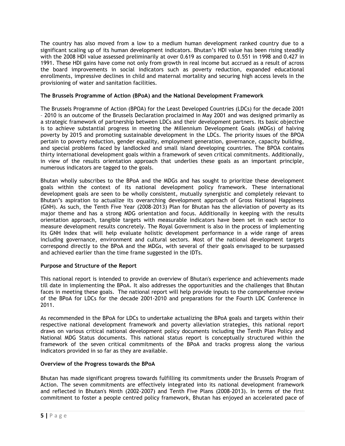The country has also moved from a low to a medium human development ranked country due to a significant scaling up of its human development indicators. Bhutan's HDI value has been rising steadily with the 2008 HDI value assessed preliminarily at over 0.619 as compared to 0.551 in 1998 and 0.427 in 1991. These HDI gains have come not only from growth in real income but accrued as a result of across the board improvements in social indicators such as poverty reduction, expanded educational enrollments, impressive declines in child and maternal mortality and securing high access levels in the provisioning of water and sanitation facilities.

# The Brussels Programme of Action (BPoA) and the National Development Framework

The Brussels Programme of Action (BPOA) for the Least Developed Countries (LDCs) for the decade 2001 – 2010 is an outcome of the Brussels Declaration proclaimed in May 2001 and was designed primarily as a strategic framework of partnership between LDCs and their development partners. Its basic objective is to achieve substantial progress in meeting the Millennium Development Goals (MDGs) of halving poverty by 2015 and promoting sustainable development in the LDCs. The priority issues of the BPOA pertain to poverty reduction, gender equality, employment generation, governance, capacity building, and special problems faced by landlocked and small island developing countries. The BPOA contains thirty international development goals within a framework of seven critical commitments. Additionally, in view of the results orientation approach that underlies these goals as an important principle, numerous indicators are tagged to the goals.

Bhutan wholly subscribes to the BPoA and the MDGs and has sought to prioritize these development goals within the context of its national development policy framework. These international development goals are seen to be wholly consistent, mutually synergistic and completely relevant to Bhutan's aspiration to actualize its overarching development approach of Gross National Happiness (GNH). As such, the Tenth Five Year (2008-2013) Plan for Bhutan has the alleviation of poverty as its major theme and has a strong MDG orientation and focus. Additionally in keeping with the results orientation approach, tangible targets with measurable indicators have been set in each sector to measure development results concretely. The Royal Government is also in the process of implementing its GNH Index that will help evaluate holistic development performance in a wide range of areas including governance, environment and cultural sectors. Most of the national development targets correspond directly to the BPoA and the MDGs, with several of their goals envisaged to be surpassed and achieved earlier than the time frame suggested in the IDTs.

# Purpose and Structure of the Report

This national report is intended to provide an overview of Bhutan's experience and achievements made till date in implementing the BPoA. It also addresses the opportunities and the challenges that Bhutan faces in meeting these goals. The national report will help provide inputs to the comprehensive review of the BPoA for LDCs for the decade 2001-2010 and preparations for the Fourth LDC Conference in 2011.

As recommended in the BPoA for LDCs to undertake actualizing the BPoA goals and targets within their respective national development framework and poverty alleviation strategies, this national report draws on various critical national development policy documents including the Tenth Plan Policy and National MDG Status documents. This national status report is conceptually structured within the framework of the seven critical commitments of the BPoA and tracks progress along the various indicators provided in so far as they are available.

# Overview of the Progress towards the BPoA

Bhutan has made significant progress towards fulfilling its commitments under the Brussels Program of Action. The seven commitments are effectively integrated into its national development framework and reflected in Bhutan's Ninth (2002-2007) and Tenth Five Plans (2008-2013). In terms of the first commitment to foster a people centred policy framework, Bhutan has enjoyed an accelerated pace of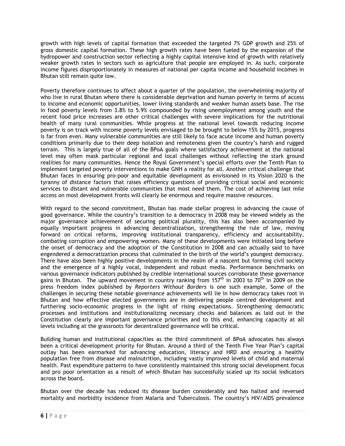growth with high levels of capital formation that exceeded the targeted 7% GDP growth and 25% of gross domestic capital formation. These high growth rates have been fueled by the expansion of the hydropower and construction sector reflecting a highly capital intensive kind of growth with relatively weaker growth rates in sectors such as agriculture that people are employed in. As such, corporate income figures disproportionately in measures of national per capita income and household incomes in Bhutan still remain quite low.

Poverty therefore continues to affect about a quarter of the population, the overwhelming majority of who live in rural Bhutan where there is considerable deprivation and human poverty in terms of access to income and economic opportunities, lower living standards and weaker human assets base. The rise in food poverty levels from 3.8% to 5.9% compounded by rising unemployment among youth and the recent food price increases are other critical challenges with severe implications for the nutritional health of many rural communities. While progress at the national level towards reducing income poverty is on track with income poverty levels envisaged to be brought to below 15% by 2015, progress is far from even. Many vulnerable communities are still likely to face acute income and human poverty conditions primarily due to their deep isolation and remoteness given the country's harsh and rugged terrain. This is largely true of all of the BPoA goals where satisfactory achievement at the national level may often mask particular regional and local challenges without reflecting the stark ground realities for many communities. Hence the Royal Government's special efforts over the Tenth Plan to implement targeted poverty interventions to make GNH a reality for all. Another critical challenge that Bhutan faces in ensuring pro-poor and equitable development as envisioned in its Vision 2020 is the tyranny of distance factors that raises efficiency questions of providing critical social and economic services to distant and vulnerable communities that most need them. The cost of achieving last mile access on most development fronts will clearly be enormous and require massive resources.

With regard to the second commitment, Bhutan has made stellar progress in advancing the cause of good governance. While the country's transition to a democracy in 2008 may be viewed widely as the major governance achievement of securing political plurality, this has also been accompanied by equally important progress in advancing decentralization, strengthening the rule of law, moving forward on critical reforms, improving institutional transparency, efficiency and accountability, combating corruption and empowering women. Many of these developments were initiated long before the onset of democracy and the adoption of the Constitution in 2008 and can actually said to have engendered a democratization process that culminated in the birth of the world's youngest democracy. There have also been highly positive developments in the realm of a nascent but forming civil society and the emergence of a highly vocal, independent and robust media. Performance benchmarks on various governance indicators published by credible international sources corroborate these governance gains in Bhutan. The upward movement in country ranking from 157<sup>th</sup> in 2003 to 70<sup>th</sup> in 2009 on the press freedom index published by Reporters Without Borders is one such example. Some of the challenges in securing these notable governance achievements will lie in how democracy takes root in Bhutan and how effective elected governments are in delivering people centred development and furthering socio-economic progress in the light of rising expectations. Strengthening democratic processes and institutions and institutionalizing necessary checks and balances as laid out in the Constitution clearly are important governance priorities and to this end, enhancing capacity at all levels including at the grassroots for decentralized governance will be critical.

Building human and institutional capacities as the third commitment of BPoA advocates has always been a critical development priority for Bhutan. Around a third of the Tenth Five Year Plan's capital outlay has been earmarked for advancing education, literacy and HRD and ensuring a healthy population free from disease and malnutrition, including vastly improved levels of child and maternal health. Past expenditure patterns to have consistently maintained this strong social development focus and pro poor orientation as a result of which Bhutan has successfully scaled up its social indicators across the board.

Bhutan over the decade has reduced its disease burden considerably and has halted and reversed mortality and morbidity incidence from Malaria and Tuberculosis. The country's HIV/AIDS prevalence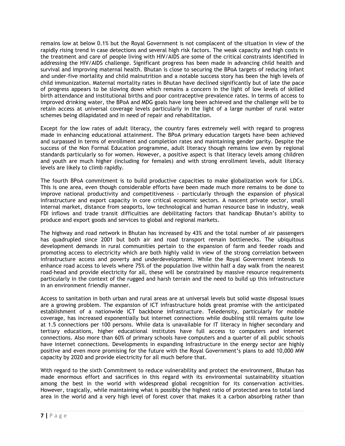remains low at below 0.1% but the Royal Government is not complacent of the situation in view of the rapidly rising trend in case detections and several high risk factors. The weak capacity and high costs in the treatment and care of people living with HIV/AIDS are some of the critical constraints identified in addressing the HIV/AIDS challenge. Significant progress has been made in advancing child health and survival and improving maternal health. Bhutan is close to securing the BPoA targets of reducing infant and under-five mortality and child malnutrition and a notable success story has been the high levels of child immunization. Maternal mortality rates in Bhutan have declined significantly but of late the pace of progress appears to be slowing down which remains a concern in the light of low levels of skilled birth attendance and institutional births and poor contraceptive prevalence rates. In terms of access to improved drinking water, the BPoA and MDG goals have long been achieved and the challenge will be to retain access at universal coverage levels particularly in the light of a large number of rural water schemes being dilapidated and in need of repair and rehabilitation.

Except for the low rates of adult literacy, the country fares extremely well with regard to progress made in enhancing educational attainment. The BPoA primary education targets have been achieved and surpassed in terms of enrollment and completion rates and maintaining gender parity. Despite the success of the Non Formal Education programme, adult literacy though remains low even by regional standards particularly so for women. However, a positive aspect is that literacy levels among children and youth are much higher (including for females) and with strong enrollment levels, adult literacy levels are likely to climb rapidly.

The fourth BPoA commitment is to build productive capacities to make globalization work for LDCs. This is one area, even though considerable efforts have been made much more remains to be done to improve national productivity and competitiveness - particularly through the expansion of physical infrastructure and export capacity in core critical economic sectors. A nascent private sector, small internal market, distance from seaports, low technological and human resource base in industry, weak FDI inflows and trade transit difficulties are debilitating factors that handicap Bhutan's ability to produce and export goods and services to global and regional markets.

The highway and road network in Bhutan has increased by 43% and the total number of air passengers has quadrupled since 2001 but both air and road transport remain bottlenecks. The ubiquitous development demands in rural communities pertain to the expansion of farm and feeder roads and promoting access to electricity which are both highly valid in view of the strong correlation between infrastructure access and poverty and underdevelopment. While the Royal Government intends to enhance road access to levels where 75% of the population live within half a day walk from the nearest road-head and provide electricity for all, these will be constrained by massive resource requirements particularly in the context of the rugged and harsh terrain and the need to build up this infrastructure in an environment friendly manner.

Access to sanitation in both urban and rural areas are at universal levels but solid waste disposal issues are a growing problem. The expansion of ICT infrastructure holds great promise with the anticipated establishment of a nationwide ICT backbone infrastructure. Teledensity, particularly for mobile coverage, has increased exponentially but internet connections while doubling still remains quite low at 1.5 connections per 100 persons. While data is unavailable for IT literacy in higher secondary and tertiary educations, higher educational institutes have full access to computers and internet connections. Also more than 60% of primary schools have computers and a quarter of all public schools have internet connections. Developments in expanding infrastructure in the energy sector are highly positive and even more promising for the future with the Royal Government's plans to add 10,000 MW capacity by 2020 and provide electricity for all much before that.

With regard to the sixth Commitment to reduce vulnerability and protect the environment, Bhutan has made enormous effort and sacrifices in this regard with its environmental sustainability situation among the best in the world with widespread global recognition for its conservation activities. However, tragically, while maintaining what is possibly the highest ratio of protected area to total land area in the world and a very high level of forest cover that makes it a carbon absorbing rather than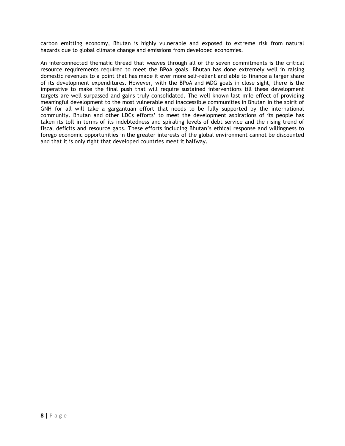carbon emitting economy, Bhutan is highly vulnerable and exposed to extreme risk from natural hazards due to global climate change and emissions from developed economies.

An interconnected thematic thread that weaves through all of the seven commitments is the critical resource requirements required to meet the BPoA goals. Bhutan has done extremely well in raising domestic revenues to a point that has made it ever more self-reliant and able to finance a larger share of its development expenditures. However, with the BPoA and MDG goals in close sight, there is the imperative to make the final push that will require sustained interventions till these development targets are well surpassed and gains truly consolidated. The well known last mile effect of providing meaningful development to the most vulnerable and inaccessible communities in Bhutan in the spirit of GNH for all will take a gargantuan effort that needs to be fully supported by the international community. Bhutan and other LDCs efforts' to meet the development aspirations of its people has taken its toll in terms of its indebtedness and spiraling levels of debt service and the rising trend of fiscal deficits and resource gaps. These efforts including Bhutan's ethical response and willingness to forego economic opportunities in the greater interests of the global environment cannot be discounted and that it is only right that developed countries meet it halfway.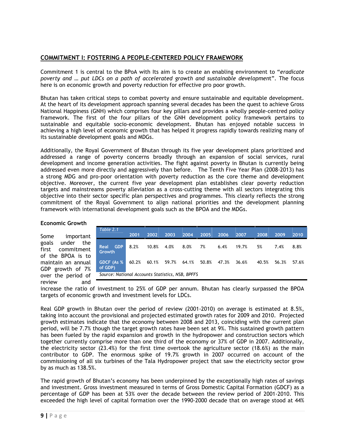# COMMITMENT I: FOSTERING A PEOPLE-CENTERED POLICY FRAMEWORK

Commitment 1 is central to the BPoA with Its aim is to create an enabling environment to "eradicate poverty and … put LDCs on a path of accelerated growth and sustainable development". The focus here is on economic growth and poverty reduction for effective pro poor growth.

Bhutan has taken critical steps to combat poverty and ensure sustainable and equitable development. At the heart of its development approach spanning several decades has been the quest to achieve Gross National Happiness (GNH) which comprises four key pillars and provides a wholly people-centred policy framework. The first of the four pillars of the GNH development policy framework pertains to sustainable and equitable socio-economic development. Bhutan has enjoyed notable success in achieving a high level of economic growth that has helped it progress rapidly towards realizing many of its sustainable development goals and MDGs.

Additionally, the Royal Government of Bhutan through its five year development plans prioritized and addressed a range of poverty concerns broadly through an expansion of social services, rural development and income generation activities. The fight against poverty in Bhutan is currently being addressed even more directly and aggressively than before. The Tenth Five Year Plan (2008-2013) has a strong MDG and pro-poor orientation with poverty reduction as the core theme and development objective. Moreover, the current five year development plan establishes clear poverty reduction targets and mainstreams poverty alleviation as a cross-cutting theme with all sectors integrating this objective into their sector specific plan perspectives and programmes. This clearly reflects the strong commitment of the Royal Government to align national priorities and the development planning framework with international development goals such as the BPOA and the MDGs.

# Economic Growth

Some important goals under the first commitment of the BPOA is to maintain an annual GDP growth of 7% over the period of review and

| Table 2.1                                        | 2001  | 2002  | 2003  | 2004  | 2005  | 2006  | 2007  | 2008  | 2009  | 2010  |
|--------------------------------------------------|-------|-------|-------|-------|-------|-------|-------|-------|-------|-------|
| <b>GDP</b><br>Real<br><b>Growth</b>              | 8.2%  | 10.8% | 4.0%  | 8.0%  | 7%    | 6.4%  | 19.7% | 5%    | 7.4%  | 8.8%  |
| GDCF (As %)<br>of GDP)                           | 60.2% | 60.1% | 59.7% | 64.1% | 50.8% | 47.3% | 36.6% | 40.5% | 56.3% | 57.6% |
| Source: National Accounts Statistics, NSB, BPFFS |       |       |       |       |       |       |       |       |       |       |

increase the ratio of investment to 25% of GDP per annum. Bhutan has clearly surpassed the BPOA targets of economic growth and investment levels for LDCs.

Real GDP growth in Bhutan over the period of review (2001-2010) on average is estimated at 8.5%, taking into account the provisional and projected estimated growth rates for 2009 and 2010. Projected growth estimates indicate that the economy between 2008 and 2013, coinciding with the current plan period, will be 7.7% though the target growth rates have been set at 9%. This sustained growth pattern has been fueled by the rapid expansion and growth in the hydropower and construction sectors which together currently comprise more than one third of the economy or 37% of GDP in 2007. Additionally, the electricity sector (23.4%) for the first time overtook the agriculture sector (18.6%) as the main contributor to GDP. The enormous spike of 19.7% growth in 2007 occurred on account of the commissioning of all six turbines of the Tala Hydropower project that saw the electricity sector grow by as much as 138.5%.

The rapid growth of Bhutan's economy has been underpinned by the exceptionally high rates of savings and investment. Gross investment measured in terms of Gross Domestic Capital Formation (GDCF) as a percentage of GDP has been at 53% over the decade between the review period of 2001-2010. This exceeded the high level of capital formation over the 1990-2000 decade that on average stood at 44%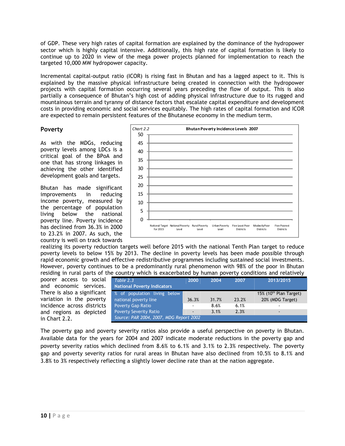of GDP. These very high rates of capital formation are explained by the dominance of the hydropower sector which is highly capital intensive. Additionally, this high rate of capital formation is likely to continue up to 2020 in view of the mega power projects planned for implementation to reach the targeted 10,000 MW hydropower capacity.

Incremental capital-output ratio (ICOR) is rising fast in Bhutan and has a lagged aspect to it. This is explained by the massive physical infrastructure being created in connection with the hydropower projects with capital formation occurring several years preceding the flow of output. This is also partially a consequence of Bhutan's high cost of adding physical infrastructure due to its rugged and mountainous terrain and tyranny of distance factors that escalate capital expenditure and development costs in providing economic and social services equitably. The high rates of capital formation and ICOR are expected to remain persistent features of the Bhutanese economy in the medium term.

# Poverty

As with the MDGs, reducing poverty levels among LDCs is a critical goal of the BPoA and one that has strong linkages in achieving the other identified development goals and targets.

Bhutan has made significant improvements in reducing income poverty, measured by the percentage of population living below the national poverty line. Poverty incidence has declined from 36.3% in 2000 to 23.2% in 2007. As such, the country is well on track towards



realizing its poverty reduction targets well before 2015 with the national Tenth Plan target to reduce poverty levels to below 15% by 2013. The decline in poverty levels has been made possible through rapid economic growth and effective redistributive programmes including sustained social investments. However, poverty continues to be a predominantly rural phenomenon with 98% of the poor in Bhutan residing in rural parts of the country which is exacerbated by human poverty conditions and relatively

poorer access to social and economic services. There is also a significant variation in the poverty incidence across districts and regions as depicted in Chart 2.2.

| Table 2.3                               | 2000                     | 2004  | 2007  | 2013/2015                          |  |  |  |
|-----------------------------------------|--------------------------|-------|-------|------------------------------------|--|--|--|
| <b>National Poverty Indicators</b>      |                          |       |       |                                    |  |  |  |
| % of population living below            |                          |       |       | 15% (10 <sup>th</sup> Plan Target) |  |  |  |
| national poverty line                   | 36.3%                    | 31.7% | 23.2% | 20% (MDG Target)                   |  |  |  |
| <b>Poverty Gap Ratio</b>                | $\overline{\phantom{a}}$ | 8.6%  | 6.1%  |                                    |  |  |  |
| <b>Poverty Severity Ratio</b>           | $\overline{\phantom{a}}$ | 3.1%  | 2.3%  |                                    |  |  |  |
| Source: PAR 2004, 2007, MDG Report 2002 |                          |       |       |                                    |  |  |  |

The poverty gap and poverty severity ratios also provide a useful perspective on poverty in Bhutan. Available data for the years for 2004 and 2007 indicate moderate reductions in the poverty gap and poverty severity ratios which declined from 8.6% to 6.1% and 3.1% to 2.3% respectively. The poverty gap and poverty severity ratios for rural areas in Bhutan have also declined from 10.5% to 8.1% and 3.8% to 3% respectively reflecting a slightly lower decline rate than at the nation aggregate.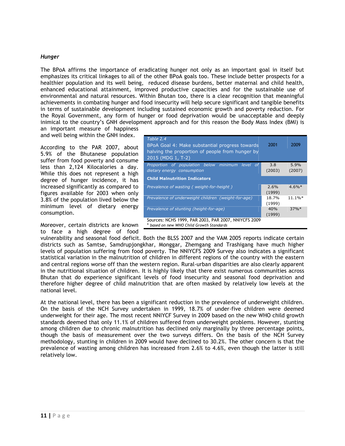#### Hunger

The BPoA affirms the importance of eradicating hunger not only as an important goal in itself but emphasizes its critical linkages to all of the other BPoA goals too. These include better prospects for a healthier population and its well being, reduced disease burdens, better maternal and child health, enhanced educational attainment, improved productive capacities and for the sustainable use of environmental and natural resources. Within Bhutan too, there is a clear recognition that meaningful achievements in combating hunger and food insecurity will help secure significant and tangible benefits in terms of sustainable development including sustained economic growth and poverty reduction. For the Royal Government, any form of hunger or food deprivation would be unacceptable and deeply inimical to the country's GNH development approach and for this reason the Body Mass Index (BMI) is an important measure of happiness

and well being within the GNH index.

According to the PAR 2007, about 5.9% of the Bhutanese population suffer from food poverty and consume less than 2,124 Kilocalories a day. While this does not represent a high degree of hunger incidence, it has increased significantly as compared to figures available for 2003 when only 3.8% of the population lived below the minimum level of dietary energy consumption.

Moreover, certain districts are known to face a high degree of food

| Table 2.4<br>BPoA Goal 4: Make substantial progress towards<br>halving the proportion of people from hunger by<br>2015 (MDG 1, T-2) | 2001            | 2009           |
|-------------------------------------------------------------------------------------------------------------------------------------|-----------------|----------------|
| Proportion of population below minimum level of<br>dietary energy consumption                                                       | 3.8<br>(2003)   | 5.9%<br>(2007) |
| <b>Child Malnutrition Indicators</b>                                                                                                |                 |                |
| Prevalence of wasting (weight-for-height)                                                                                           | 2.6%<br>(1999)  | $4.6\%*$       |
| Prevalence of underweight children (weight-for-age)                                                                                 | 18.7%<br>(1999) | $11.1\%*$      |
| Prevalence of stunting (height-for-age)                                                                                             | 40%<br>(1999)   | $37\%*$        |
| Sources: NCHS 1999, PAR 2003, PAR 2007, NNIYCFS 2009<br>* based on new WHO Child Growth Standards                                   |                 |                |

vulnerability and seasonal food deficit. Both the BLSS 2007 and the VAM 2005 reports indicate certain districts such as Samtse, Samdrupjongkhar, Monggar, Zhemgang and Trashigang have much higher levels of population suffering from food poverty. The NNIYCFS 2009 Survey also indicates a significant statistical variation in the malnutrition of children in different regions of the country with the eastern and central regions worse off than the western region. Rural-urban disparities are also clearly apparent in the nutritional situation of children. It is highly likely that there exist numerous communities across Bhutan that do experience significant levels of food insecurity and seasonal food deprivation and therefore higher degree of child malnutrition that are often masked by relatively low levels at the national level.

At the national level, there has been a significant reduction in the prevalence of underweight children. On the basis of the NCH Survey undertaken in 1999, 18.7% of under-five children were deemed underweight for their age. The most recent NNIYCF Survey in 2009 based on the new WHO child growth standards deemed that only 11.1% of children suffered from underweight problems. However, stunting among children due to chronic malnutrition has declined only marginally by three percentage points, though the basis of measurement over the two surveys differs. On the basis of the NCH Survey methodology, stunting in children in 2009 would have declined to 30.2%. The other concern is that the prevalence of wasting among children has increased from 2.6% to 4.6%, even though the latter is still relatively low.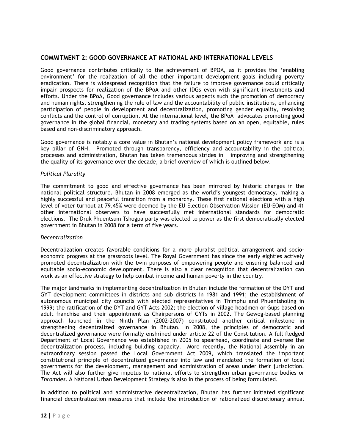# COMMITMENT 2: GOOD GOVERNANCE AT NATIONAL AND INTERNATIONAL LEVELS

Good governance contributes critically to the achievement of BPOA, as it provides the 'enabling environment' for the realization of all the other important development goals including poverty eradication. There is widespread recognition that the failure to improve governance could critically impair prospects for realization of the BPoA and other IDGs even with significant investments and efforts. Under the BPoA, Good governance includes various aspects such the promotion of democracy and human rights, strengthening the rule of law and the accountability of public institutions, enhancing participation of people in development and decentralization, promoting gender equality, resolving conflicts and the control of corruption. At the international level, the BPoA advocates promoting good governance in the global financial, monetary and trading systems based on an open, equitable, rules based and non-discriminatory approach.

Good governance is notably a core value in Bhutan's national development policy framework and is a key pillar of GNH. Promoted through transparency, efficiency and accountability in the political processes and administration, Bhutan has taken tremendous strides in improving and strengthening the quality of its governance over the decade, a brief overview of which is outlined below.

# Political Plurality

The commitment to good and effective governance has been mirrored by historic changes in the national political structure. Bhutan in 2008 emerged as the world's youngest democracy, making a highly successful and peaceful transition from a monarchy. These first national elections with a high level of voter turnout at 79.45% were deemed by the EU Election Observation Mission (EU-EOM) and 41 other international observers to have successfully met international standards for democratic elections. The Druk Phuentsum Tshogpa party was elected to power as the first democratically elected government in Bhutan in 2008 for a term of five years.

# Decentralization

Decentralization creates favorable conditions for a more pluralist political arrangement and socioeconomic progress at the grassroots level. The Royal Government has since the early eighties actively promoted decentralization with the twin purposes of empowering people and ensuring balanced and equitable socio-economic development. There is also a clear recognition that decentralization can work as an effective strategy to help combat income and human poverty in the country.

The major landmarks in implementing decentralization in Bhutan include the formation of the DYT and GYT development committees in districts and sub districts in 1981 and 1991; the establishment of autonomous municipal city councils with elected representatives in Thimphu and Phuentsholing in 1999; the ratification of the DYT and GYT Acts 2002; the election of village headmen or Gups based on adult franchise and their appointment as Chairpersons of GYTs in 2002. The Gewog-based planning approach launched in the Ninth Plan (2002-2007) constituted another critical milestone in strengthening decentralized governance in Bhutan. In 2008, the principles of democratic and decentralized governance were formally enshrined under article 22 of the Constitution. A full fledged Department of Local Governance was established in 2005 to spearhead, coordinate and oversee the decentralization process, including building capacity. More recently, the National Assembly in an extraordinary session passed the Local Government Act 2009, which translated the important constitutional principle of decentralized governance into law and mandated the formation of local governments for the development, management and administration of areas under their jurisdiction. The Act will also further give impetus to national efforts to strengthen urban governance bodies or Thromdes. A National Urban Development Strategy is also in the process of being formulated.

In addition to political and administrative decentralization, Bhutan has further initiated significant financial decentralization measures that include the introduction of rationalized discretionary annual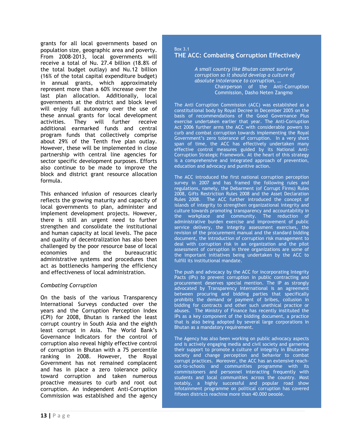grants for all local governments based on population size, geographic area and poverty. From 2008-2013, local governments will receive a total of Nu. 27.4 billion (18.8% of the total budget outlay) and Nu.12 billion (16% of the total capital expenditure budget) in annual grants, which approximately represent more than a 60% increase over the last plan allocation. Additionally, local governments at the district and block level will enjoy full autonomy over the use of these annual grants for local development activities. They will further receive additional earmarked funds and central program funds that collectively comprise about 29% of the Tenth five plan outlay. However, these will be implemented in close partnership with central line agencies for sector specific development purposes. Efforts also continue to be made to improve the block and district grant resource allocation formula.

This enhanced infusion of resources clearly reflects the growing maturity and capacity of local governments to plan, administer and implement development projects. However, there is still an urgent need to further strengthen and consolidate the institutional and human capacity at local levels. The pace and quality of decentralization has also been challenged by the poor resource base of local economies and the bureaucratic administrative systems and procedures that act as bottlenecks hampering the efficiency and effectiveness of local administration.

# Combating Corruption

On the basis of the various Transparency International Surveys conducted over the years and the Corruption Perception Index (CPI) for 2008, Bhutan is ranked the least corrupt country in South Asia and the eighth least corrupt in Asia. The World Bank's Governance Indicators for the control of corruption also reveal highly effective control of corruption in Bhutan with a 75 percentile ranking in 2008. However, the Royal Government has not remained complacent and has in place a zero tolerance policy toward corruption and taken numerous proactive measures to curb and root out corruption. An independent Anti-Corruption Commission was established and the agency

#### Box 3.1 THE ACC: Combating Corruption Effectively

A small country like Bhutan cannot survive corruption so it should develop a culture of absolute intolerance to corruption, … Chairperson of the Anti-Corruption Commission, Dasho Neten Zangmo

The Anti Corruption Commission (ACC) was established as a constitutional body by Royal Decree in December 2005 on the basis of recommendations of the Good Governance Plus exercise undertaken earlier that year. The Anti-Corruption Act 2006 further arms the ACC with considerable powers to curb and combat corruption towards implementing the Royal Government's zero tolerance of corruption. In a very short span of time, the ACC has effectively undertaken many effective control measures guided by its National Anti-Corruption Strategic Framework. At the heart of this strategy is a comprehensive and integrated approach of prevention, education and advocacy and punitive action.

The ACC introduced the first national corruption perception survey in 2007 and has framed the following rules and regulations, namely, the Debarment (of Corrupt Firms) Rules 2008, Gifts Restriction Rules 2008 and the Asset Declaration Rules 2008. The ACC further introduced the concept of islands of integrity to strengthen organizational integrity and culture towards promoting transparency and accountability in the workplace and community. The reduction of administrative burden exercise and improvement of public service delivery, the integrity assessment exercises, the revision of the procurement manual and the standard bidding document, the introduction of corruption risk management to deal with corruption risk in an organization and the pilot assessment of corruption in three organizations are some of the important initiatives being undertaken by the ACC to fulfill its institutional mandate.

The push and advocacy by the ACC for incorporating Integrity Pacts (IPs) to prevent corruption in public contracting and procurement deserves special mention. The IP as strongly advocated by Transparency International is an agreement between procuring and bidding parties that specifically prohibits the demand or payment of bribes, collusion in bidding for contracts and other such unethical practice or abuses. The Ministry of Finance has recently instituted the IPs as a key component of the bidding document, a practice that is also being adopted by several large corporations in Bhutan as a mandatory requirement.

The Agency has also been working on public advocacy aspects and is actively engaging media and civil society and garnering their support to promote a culture of integrity in Bhutanese society and change perception and behavior to combat corrupt practices. Moreover, the ACC has an extensive reachout-to-schools and communities programme with its commissioners and personnel interacting frequently with students and local communities across the country. Most notably, a highly successful and popular road show infotainment programme on political corruption has covered fifteen districts reaching more than 40,000 people.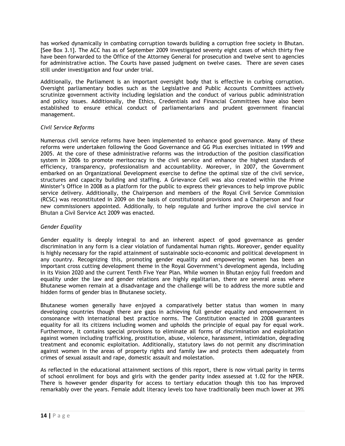has worked dynamically in combating corruption towards building a corruption free society in Bhutan. [See Box 3.1]. The ACC has as of September 2009 investigated seventy eight cases of which thirty five have been forwarded to the Office of the Attorney General for prosecution and twelve sent to agencies for administrative action. The Courts have passed judgment on twelve cases. There are seven cases still under investigation and four under trial.

Additionally, the Parliament is an important oversight body that is effective in curbing corruption. Oversight parliamentary bodies such as the Legislative and Public Accounts Committees actively scrutinize government activity including legislation and the conduct of various public administration and policy issues. Additionally, the Ethics, Credentials and Financial Committees have also been established to ensure ethical conduct of parliamentarians and prudent government financial management.

# Civil Service Reforms

Numerous civil service reforms have been implemented to enhance good governance. Many of these reforms were undertaken following the Good Governance and GG Plus exercises initiated in 1999 and 2005. At the core of these administrative reforms was the introduction of the position classification system in 2006 to promote meritocracy in the civil service and enhance the highest standards of efficiency, transparency, professionalism and accountability. Moreover, in 2007, the Government embarked on an Organizational Development exercise to define the optimal size of the civil service, structures and capacity building and staffing. A Grievance Cell was also created within the Prime Minister's Office in 2008 as a platform for the public to express their grievances to help improve public service delivery. Additionally, the Chairperson and members of the Royal Civil Service Commission (RCSC) was reconstituted in 2009 on the basis of constitutional provisions and a Chairperson and four new commissioners appointed. Additionally, to help regulate and further improve the civil service in Bhutan a Civil Service Act 2009 was enacted.

# Gender Equality

Gender equality is deeply integral to and an inherent aspect of good governance as gender discrimination in any form is a clear violation of fundamental human rights. Moreover, gender equality is highly necessary for the rapid attainment of sustainable socio-economic and political development in any country. Recognizing this, promoting gender equality and empowering women has been an important cross cutting development theme in the Royal Government's development agenda, including in its Vision 2020 and the current Tenth Five Year Plan. While women in Bhutan enjoy full freedom and equality under the law and gender relations are highly egalitarian, there are several areas where Bhutanese women remain at a disadvantage and the challenge will be to address the more subtle and hidden forms of gender bias in Bhutanese society.

Bhutanese women generally have enjoyed a comparatively better status than women in many developing countries though there are gaps in achieving full gender equality and empowerment in consonance with international best practice norms. The Constitution enacted in 2008 guarantees equality for all its citizens including women and upholds the principle of equal pay for equal work. Furthermore, it contains special provisions to eliminate all forms of discrimination and exploitation against women including trafficking, prostitution, abuse, violence, harassment, intimidation, degrading treatment and economic exploitation. Additionally, statutory laws do not permit any discrimination against women in the areas of property rights and family law and protects them adequately from crimes of sexual assault and rape, domestic assault and molestation.

As reflected in the educational attainment sections of this report, there is now virtual parity in terms of school enrollment for boys and girls with the gender parity index assessed at 1.02 for the NPER. There is however gender disparity for access to tertiary education though this too has improved remarkably over the years. Female adult literacy levels too have traditionally been much lower at 39%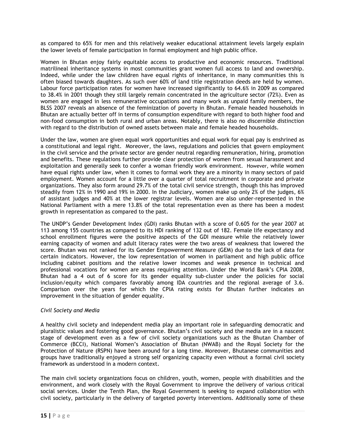as compared to 65% for men and this relatively weaker educational attainment levels largely explain the lower levels of female participation in formal employment and high public office.

Women in Bhutan enjoy fairly equitable access to productive and economic resources. Traditional matrilineal inheritance systems in most communities grant women full access to land and ownership. Indeed, while under the law children have equal rights of inheritance, in many communities this is often biased towards daughters. As such over 60% of land title registration deeds are held by women. Labour force participation rates for women have increased significantly to 64.6% in 2009 as compared to 38.4% in 2001 though they still largely remain concentrated in the agriculture sector (72%). Even as women are engaged in less remunerative occupations and many work as unpaid family members, the BLSS 2007 reveals an absence of the feminization of poverty in Bhutan. Female headed households in Bhutan are actually better off in terms of consumption expenditure with regard to both higher food and non-food consumption in both rural and urban areas. Notably, there is also no discernible distinction with regard to the distribution of owned assets between male and female headed households.

Under the law, women are given equal work opportunities and equal work for equal pay is enshrined as a constitutional and legal right. Moreover, the laws, regulations and policies that govern employment in the civil service and the private sector are gender neutral regarding remuneration, hiring, promotion and benefits. These regulations further provide clear protection of women from sexual harassment and exploitation and generally seek to confer a woman friendly work environment. However, while women have equal rights under law, when it comes to formal work they are a minority in many sectors of paid employment. Women account for a little over a quarter of total recruitment in corporate and private organizations. They also form around 29.7% of the total civil service strength, though this has improved steadily from 12% in 1990 and 19% in 2000. In the Judiciary, women make up only 2% of the judges, 6% of assistant judges and 40% at the lower registrar levels. Women are also under-represented in the National Parliament with a mere 13.8% of the total representation even as there has been a modest growth in representation as compared to the past.

The UNDP's Gender Development Index (GDI) ranks Bhutan with a score of 0.605 for the year 2007 at 113 among 155 countries as compared to its HDI ranking of 132 out of 182. Female life expectancy and school enrollment figures were the positive aspects of the GDI measure while the relatively lower earning capacity of women and adult literacy rates were the two areas of weakness that lowered the score. Bhutan was not ranked for its Gender Empowerment Measure (GEM) due to the lack of data for certain indicators. However, the low representation of women in parliament and high public office including cabinet positions and the relative lower incomes and weak presence in technical and professional vocations for women are areas requiring attention. Under the World Bank's CPIA 2008, Bhutan had a 4 out of 6 score for its gender equality sub-cluster under the policies for social inclusion/equity which compares favorably among IDA countries and the regional average of 3.6. Comparison over the years for which the CPIA rating exists for Bhutan further indicates an improvement in the situation of gender equality.

# Civil Society and Media

A healthy civil society and independent media play an important role in safeguarding democratic and pluralistic values and fostering good governance. Bhutan's civil society and the media are in a nascent stage of development even as a few of civil society organizations such as the Bhutan Chamber of Commerce (BCCI), National Women's Association of Bhutan (NWAB) and the Royal Society for the Protection of Nature (RSPN) have been around for a long time. Moreover, Bhutanese communities and groups have traditionally enjoyed a strong self organizing capacity even without a formal civil society framework as understood in a modern context.

The main civil society organizations focus on children, youth, women, people with disabilities and the environment, and work closely with the Royal Government to improve the delivery of various critical social services. Under the Tenth Plan, the Royal Government is seeking to expand collaboration with civil society, particularly in the delivery of targeted poverty interventions. Additionally some of these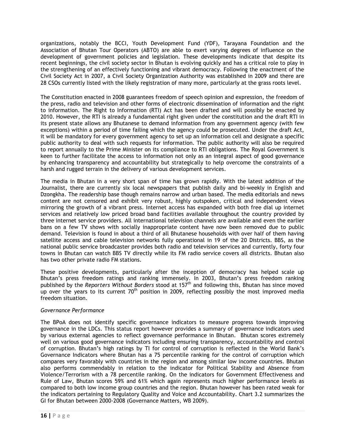organizations, notably the BCCI, Youth Development Fund (YDF), Tarayana Foundation and the Association of Bhutan Tour Operators (ABTO) are able to exert varying degrees of influence on the development of government policies and legislation. These developments indicate that despite its recent beginnings, the civil society sector in Bhutan is evolving quickly and has a critical role to play in the strengthening of an effectively functioning and vibrant democracy. Following the enactment of the Civil Society Act in 2007, a Civil Society Organization Authority was established in 2009 and there are 28 CSOs currently listed with the likely registration of many more, particularly at the grass roots level.

The Constitution enacted in 2008 guarantees freedom of speech opinion and expression, the freedom of the press, radio and television and other forms of electronic dissemination of information and the right to information. The Right to Information (RTI) Act has been drafted and will possibly be enacted by 2010. However, the RTI is already a fundamental right given under the constitution and the draft RTI in its present state allows any Bhutanese to demand information from any government agency (with few exceptions) within a period of time failing which the agency could be prosecuted. Under the draft Act, it will be mandatory for every government agency to set up an information cell and designate a specific public authority to deal with such requests for information. The public authority will also be required to report annually to the Prime Minister on its compliance to RTI obligations. The Royal Government is keen to further facilitate the access to information not only as an integral aspect of good governance by enhancing transparency and accountability but strategically to help overcome the constraints of a harsh and rugged terrain in the delivery of various development services.

The media in Bhutan in a very short span of time has grown rapidly. With the latest addition of the Journalist, there are currently six local newspapers that publish daily and bi-weekly in English and Dzongkha. The readership base though remains narrow and urban based. The media editorials and news content are not censored and exhibit very robust, highly outspoken, critical and independent views mirroring the growth of a vibrant press. Internet access has expanded with both free dial up internet services and relatively low priced broad band facilities available throughout the country provided by three internet service providers. All international television channels are available and even the earlier bans on a few TV shows with socially inappropriate content have now been removed due to public demand. Television is found in about a third of all Bhutanese households with over half of them having satellite access and cable television networks fully operational in 19 of the 20 Districts. BBS, as the national public service broadcaster provides both radio and television services and currently, forty four towns in Bhutan can watch BBS TV directly while its FM radio service covers all districts. Bhutan also has two other private radio FM stations.

These positive developments, particularly after the inception of democracy has helped scale up Bhutan's press freedom ratings and ranking immensely. In 2003, Bhutan's press freedom ranking published by the Reporters Without Borders stood at 157<sup>th</sup> and following this, Bhutan has since moved up over the years to its current  $70<sup>th</sup>$  position in 2009, reflecting possibly the most improved media freedom situation.

# Governance Performance

The BPoA does not identify specific governance indicators to measure progress towards improving governance in the LDCs. This status report however provides a summary of governance indicators used by various external agencies to reflect governance performance in Bhutan. Bhutan scores extremely well on various good governance indicators including ensuring transparency, accountability and control of corruption. Bhutan's high ratings by TI for control of corruption is reflected in the World Bank's Governance Indicators where Bhutan has a 75 percentile ranking for the control of corruption which compares very favorably with countries in the region and among similar low income countries. Bhutan also performs commendably in relation to the indicator for Political Stability and Absence from Violence/Terrorism with a 78 percentile ranking. On the indicators for Government Effectiveness and Rule of Law, Bhutan scores 59% and 61% which again represents much higher performance levels as compared to both low income group countries and the region. Bhutan however has been rated weak for the indicators pertaining to Regulatory Quality and Voice and Accountability. Chart 3.2 summarizes the GI for Bhutan between 2000-2008 (Governance Matters, WB 2009).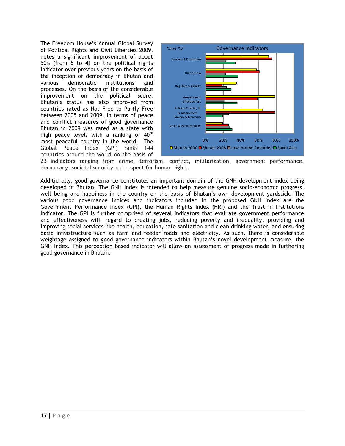The Freedom House's Annual Global Survey of Political Rights and Civil Liberties 2009, notes a significant improvement of about 50% (from 6 to 4) on the political rights indicator over previous years on the basis of the inception of democracy in Bhutan and various democratic institutions and processes. On the basis of the considerable improvement on the political score, Bhutan's status has also improved from countries rated as Not Free to Partly Free between 2005 and 2009. In terms of peace and conflict measures of good governance Bhutan in 2009 was rated as a state with high peace levels with a ranking of  $40<sup>th</sup>$ most peaceful country in the world. The Global Peace Index (GPI) ranks 144 countries around the world on the basis of



23 indicators ranging from crime, terrorism, conflict, militarization, government performance, democracy, societal security and respect for human rights.

Additionally, good governance constitutes an important domain of the GNH development index being developed in Bhutan. The GNH Index is intended to help measure genuine socio-economic progress, well being and happiness in the country on the basis of Bhutan's own development yardstick. The various good governance indices and indicators included in the proposed GNH Index are the Government Performance Index (GPI), the Human Rights Index (HRI) and the Trust in Institutions Indicator. The GPI is further comprised of several indicators that evaluate government performance and effectiveness with regard to creating jobs, reducing poverty and inequality, providing and improving social services like health, education, safe sanitation and clean drinking water, and ensuring basic infrastructure such as farm and feeder roads and electricity. As such, there is considerable weightage assigned to good governance indicators within Bhutan's novel development measure, the GNH Index. This perception based indicator will allow an assessment of progress made in furthering good governance in Bhutan.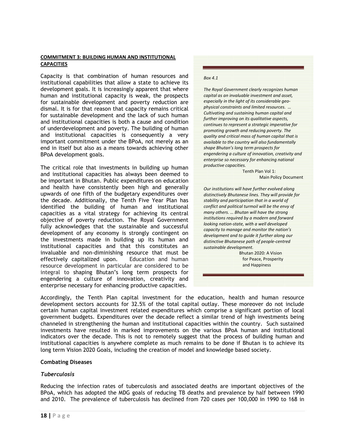#### COMMITMENT 3: BUILDING HUMAN AND INSTITUTIONAL **CAPACITIES**

Capacity is that combination of human resources and institutional capabilities that allow a state to achieve its development goals. It is increasingly apparent that where human and institutional capacity is weak, the prospects for sustainable development and poverty reduction are dismal. It is for that reason that capacity remains critical for sustainable development and the lack of such human and institutional capacities is both a cause and condition of underdevelopment and poverty. The building of human and institutional capacities is consequently a very important commitment under the BPoA, not merely as an end in itself but also as a means towards achieving other BPoA development goals.

The critical role that investments in building up human and institutional capacities has always been deemed to be important in Bhutan. Public expenditures on education and health have consistently been high and generally upwards of one fifth of the budgetary expenditures over the decade. Additionally, the Tenth Five Year Plan has identified the building of human and institutional capacities as a vital strategy for achieving its central objective of poverty reduction. The Royal Government fully acknowledges that the sustainable and successful development of any economy is strongly contingent on the investments made in building up its human and institutional capacities and that this constitutes an invaluable and non-diminishing resource that must be effectively capitalized upon. Education and human resource development in particular are considered to be integral to shaping Bhutan's long term prospects for engendering a culture of innovation, creativity and enterprise necessary for enhancing productive capacities.

#### Box 4.1

The Royal Government clearly recognizes human capital as an invaluable investment and asset, especially in the light of its considerable geophysical constraints and limited resources. … Cultivating and sustaining human capital and further improving on its qualitative aspects, continues to represent a strategic imperative for promoting growth and reducing poverty. The quality and critical mass of human capital that is available to the country will also fundamentally shape Bhutan's long term prospects for engendering a culture of innovation, creativity and enterprise so necessary for enhancing national productive capacities.

> Tenth Plan Vol 1: Main Policy Document

Our institutions will have further evolved along distinctively Bhutanese lines. They will provide for stability and participation that in a world of conflict and political turmoil will be the envy of many others. … Bhutan will have the strong institutions required by a modern and forward looking nation-state, with a well developed capacity to manage and monitor the nation's development and to guide it further along our distinctive Bhutanese path of people-centred sustainable development.

> Bhutan 2020: A Vision for Peace, Prosperity and Happiness

Accordingly, the Tenth Plan capital investment for the education, health and human resource development sectors accounts for 32.5% of the total capital outlay. These moreover do not include certain human capital investment related expenditures which comprise a significant portion of local government budgets. Expenditures over the decade reflect a similar trend of high investments being channeled in strengthening the human and institutional capacities within the country. Such sustained investments have resulted in marked improvements on the various BPoA human and institutional indicators over the decade. This is not to remotely suggest that the process of building human and institutional capacities is anywhere complete as much remains to be done if Bhutan is to achieve its long term Vision 2020 Goals, including the creation of model and knowledge based society.

#### Combating Diseases

#### Tuberculosis

Reducing the infection rates of tuberculosis and associated deaths are important objectives of the BPoA, which has adopted the MDG goals of reducing TB deaths and prevalence by half between 1990 and 2010. The prevalence of tuberculosis has declined from 720 cases per 100,000 in 1990 to 168 in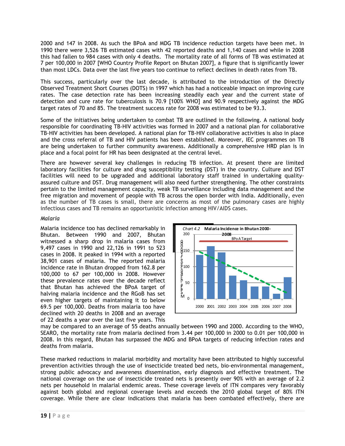2000 and 147 in 2008. As such the BPoA and MDG TB incidence reduction targets have been met. In 1990 there were 3,526 TB estimated cases with 42 reported deaths and 1,140 cases and while in 2008 this had fallen to 984 cases with only 4 deaths. The mortality rate of all forms of TB was estimated at 7 per 100,000 in 2007 [WHO Country Profile Report on Bhutan 2007], a figure that is significantly lower than most LDCs. Data over the last five years too continue to reflect declines in death rates from TB.

This success, particularly over the last decade, is attributed to the introduction of the Directly Observed Treatment Short Courses (DOTS) in 1997 which has had a noticeable impact on improving cure rates. The case detection rate has been increasing steadily each year and the current state of detection and cure rate for tuberculosis is 70.9 [100% WHO] and 90.9 respectively against the MDG target rates of 70 and 85. The treatment success rate for 2008 was estimated to be 93.3.

Some of the initiatives being undertaken to combat TB are outlined in the following. A national body responsible for coordinating TB-HIV activities was formed in 2007 and a national plan for collaborative TB-HIV activities has been developed. A national plan for TB-HIV collaborative activities is also in place and the cross referral of TB and HIV patients has been established. Moreover, IEC programmes on TB are being undertaken to further community awareness. Additionally a comprehensive HRD plan is in place and a focal point for HR has been designated at the central level.

There are however several key challenges in reducing TB infection. At present there are limited laboratory facilities for culture and drug susceptibility testing (DST) in the country. Culture and DST facilities will need to be upgraded and additional laboratory staff trained in undertaking qualityassured culture and DST. Drug management will also need further strengthening. The other constraints pertain to the limited management capacity, weak TB surveillance including data management and the free migration and movement of people with TB across the open border with India. Additionally, even as the number of TB cases is small, there are concerns as most of the pulmonary cases are highly infectious cases and TB remains an opportunistic infection among HIV/AIDS cases.

# Malaria

Malaria incidence too has declined remarkably in Bhutan. Between 1990 and 2007, Bhutan witnessed a sharp drop in malaria cases from 9,497 cases in 1990 and 22,126 in 1991 to 523 cases in 2008. It peaked in 1994 with a reported 38,901 cases of malaria. The reported malaria incidence rate in Bhutan dropped from 162.8 per 100,000 to 67 per 100,000 in 2008. However these prevalence rates over the decade reflect that Bhutan has achieved the BPoA target of halving malaria incidence and the RGoB has set even higher targets of maintaining it to below 69.5 per 100,000. Deaths from malaria too have declined with 20 deaths in 2008 and an average of 22 deaths a year over the last five years. This



may be compared to an average of 55 deaths annually between 1990 and 2000. According to the WHO, SEARO, the mortality rate from malaria declined from 3.44 per 100,000 in 2000 to 0.01 per 100,000 in 2008. In this regard, Bhutan has surpassed the MDG and BPoA targets of reducing infection rates and deaths from malaria.

These marked reductions in malarial morbidity and mortality have been attributed to highly successful prevention activities through the use of insecticide treated bed nets, bio-environmental management, strong public advocacy and awareness dissemination, early diagnosis and effective treatment. The national coverage on the use of insecticide treated nets is presently over 90% with an average of 2.2 nets per household in malarial endemic areas. These coverage levels of ITN compares very favorably against both global and regional coverage levels and exceeds the 2010 global target of 80% ITN coverage. While there are clear indications that malaria has been combated effectively, there are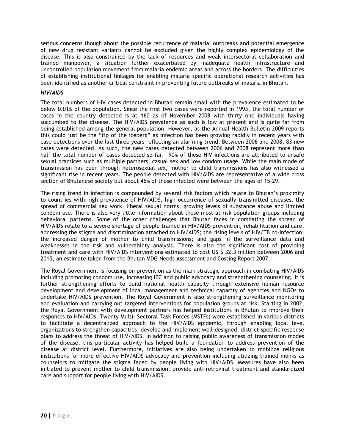serious concerns though about the possible recurrence of malarial outbreaks and potential emergence of new drug resistant variants cannot be excluded given the highly complex epidemiology of the disease. This is also constrained by the lack of resources and weak intersectoral collaboration and trained manpower, a situation further exacerbated by inadequate health infrastructure and uncontrolled population movement from malaria endemic areas and across the borders. The difficulties of establishing institutional linkages for enabling malaria specific operational research activities has been identified as another critical constraint in preventing future outbreaks of malaria in Bhutan.

# HIV/AIDS

The total numbers of HIV cases detected in Bhutan remain small with the prevalence estimated to be below 0.01% of the population. Since the first two cases were reported in 1993, the total number of cases in the country detected is at 160 as of November 2008 with thirty one individuals having succumbed to the disease. The HIV/AIDS prevalence as such is low at present and is quite far from being established among the general population. However, as the Annual Health Bulletin 2009 reports this could just be the "tip of the iceberg" as infection has been growing rapidly in recent years with case detections over the last three years reflecting an alarming trend. Between 2006 and 2008, 83 new cases were detected. As such, the new cases detected between 2006 and 2008 represent more than half the total number of cases detected so far. 90% of these HIV infections are attributed to unsafe sexual practices such as multiple partners, casual sex and low condom usage. While the main mode of transmission has been through heterosexual sex, mother to child transmissions has also witnessed a significant rise in recent years. The people detected with HIV/AIDS are representative of a wide cross section of Bhutanese society but about 46% of those infected were between the ages of 15-29.

The rising trend in infection is compounded by several risk factors which relate to Bhutan's proximity to countries with high prevalence of HIV/AIDS, high occurrence of sexually transmitted diseases, the spread of commercial sex work, liberal sexual norms, growing levels of substance abuse and limited condom use. There is also very little information about those most-at-risk population groups including behavioral patterns. Some of the other challenges that Bhutan faces in combating the spread of HIV/AIDS relate to a severe shortage of people trained in HIV/AIDS prevention, rehabilitation and care; addressing the stigma and discrimination attached to HIV/AIDS; the rising levels of HIV/TB co-infection; the increased danger of mother to child transmissions; and gaps in the surveillance data and weaknesses in the risk and vulnerability analysis. There is also the significant cost of providing treatment and care with HIV/AIDS interventions estimated to cost US \$ 32.3 million between 2006 and 2015, an estimate taken from the Bhutan MDG Needs Assessment and Costing Report 2007.

The Royal Government is focusing on prevention as the main strategic approach in combating HIV/AIDS including promoting condom use, increasing IEC and public advocacy and strengthening counseling. It is further strengthening efforts to build national health capacity through extensive human resource development and development of local management and technical capacity of agencies and NGOs to undertake HIV/AIDS prevention. The Royal Government is also strengthening surveillance monitoring and evaluation and carrying out targeted interventions for population groups at risk. Starting in 2002, the Royal Government with development partners has helped institutions in Bhutan to improve their responses to HIV/AIDs. Twenty Multi- Sectoral Task Forces (MSTFs) were established in various districts to facilitate a decentralized approach to the HIV/AIDS epidemic, through enabling local level organizations to strengthen capacities, develop and implement well-designed, district-specific response plans to address the threat of HIV/AIDS. In addition to raising public awareness of transmission modes of the disease, this particular activity has helped build a foundation to address prevention of the disease at district level. Furthermore, initiatives are also being undertaken to mobilize religious institutions for more effective HIV/AIDS advocacy and prevention including utilizing trained monks as counselors to mitigate the stigma faced by people living with HIV/AIDS. Measures have also been initiated to prevent mother to child transmission, provide anti-retroviral treatment and standardized care and support for people living with HIV/AIDS.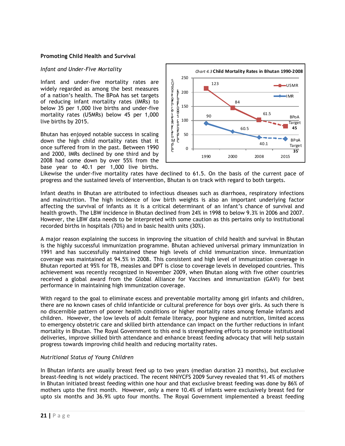#### Promoting Child Health and Survival

#### Infant and Under-Five Mortality

Infant and under-five mortality rates are widely regarded as among the best measures of a nation's health. The BPoA has set targets of reducing infant mortality rates (IMRs) to below 35 per 1,000 live births and under-five mortality rates (U5MRs) below 45 per 1,000 live births by 2015.

Bhutan has enjoyed notable success in scaling down the high child mortality rates that it once suffered from in the past. Between 1990 and 2000, IMRs declined by one third and by 2008 had come down by over 55% from the base year to 40.1 per 1,000 live births.



Likewise the under-five mortality rates have declined to 61.5. On the basis of the current pace of progress and the sustained levels of intervention, Bhutan is on track with regard to both targets.

Infant deaths in Bhutan are attributed to infectious diseases such as diarrhoea, respiratory infections and malnutrition. The high incidence of low birth weights is also an important underlying factor affecting the survival of infants as it is a critical determinant of an infant's chance of survival and health growth. The LBW incidence in Bhutan declined from 24% in 1998 to below 9.3% in 2006 and 2007. However, the LBW data needs to be interpreted with some caution as this pertains only to institutional recorded births in hospitals (70%) and in basic health units (30%).

A major reason explaining the success in improving the situation of child health and survival in Bhutan is the highly successful immunization programme. Bhutan achieved universal primary immunization in 1991 and has successfully maintained these high levels of child immunization since. Immunization coverage was maintained at 94.5% in 2008. This consistent and high level of immunization coverage in Bhutan reported at 95% for TB, measles and DPT is close to coverage levels in developed countries. This achievement was recently recognized in November 2009, when Bhutan along with five other countries received a global award from the Global Alliance for Vaccines and Immunization (GAVI) for best performance in maintaining high immunization coverage.

With regard to the goal to eliminate excess and preventable mortality among girl infants and children, there are no known cases of child infanticide or cultural preference for boys over girls. As such there is no discernible pattern of poorer health conditions or higher mortality rates among female infants and children. However, the low levels of adult female literacy, poor hygiene and nutrition, limited access to emergency obstetric care and skilled birth attendance can impact on the further reductions in infant mortality in Bhutan. The Royal Government to this end is strengthening efforts to promote institutional deliveries, improve skilled birth attendance and enhance breast feeding advocacy that will help sustain progress towards improving child health and reducing mortality rates.

#### Nutritional Status of Young Children

In Bhutan infants are usually breast feed up to two years (median duration 23 months), but exclusive breast-feeding is not widely practiced. The recent NNIYCFS 2009 Survey revealed that 91.4% of mothers in Bhutan initiated breast feeding within one hour and that exclusive breast feeding was done by 86% of mothers upto the first month. However, only a mere 10.4% of infants were exclusively breast fed for upto six months and 36.9% upto four months. The Royal Government implemented a breast feeding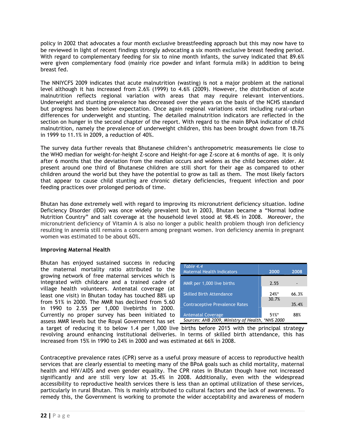policy in 2002 that advocates a four month exclusive breastfeeding approach but this may now have to be reviewed in light of recent findings strongly advocating a six month exclusive breast feeding period. With regard to complementary feeding for six to nine month infants, the survey indicated that 89.6% were given complementary food (mainly rice powder and infant formula milk) in addition to being breast fed.

The NNIYCFS 2009 indicates that acute malnutrition (wasting) is not a major problem at the national level although it has increased from 2.6% (1999) to 4.6% (2009). However, the distribution of acute malnutrition reflects regional variation with areas that may require relevant interventions. Underweight and stunting prevalence has decreased over the years on the basis of the NCHS standard but progress has been below expectation. Once again regional variations exist including rural-urban differences for underweight and stunting. The detailed malnutrition indicators are reflected in the section on hunger in the second chapter of the report. With regard to the main BPoA indicator of child malnutrition, namely the prevalence of underweight children, this has been brought down from 18.7% in 1999 to 11.1% in 2009, a reduction of 40%.

The survey data further reveals that Bhutanese children's anthropometric measurements lie close to the WHO median for weight-for-height Z-score and Height-for–age Z-score at 6 months of age. It is only after 6 months that the deviation from the median occurs and widens as the child becomes older. At present around one third of Bhutanese children are still short for their age as compared to other children around the world but they have the potential to grow as tall as them. The most likely factors that appear to cause child stunting are chronic dietary deficiencies, frequent infection and poor feeding practices over prolonged periods of time.

Bhutan has done extremely well with regard to improving its micronutrient deficiency situation. Iodine Deficiency Disorder (IDD) was once widely prevalent but in 2003, Bhutan became a "Normal Iodine Nutrition Country" and salt coverage at the household level stood at 98.4% in 2008. Moreover, the micronutrient deficiency of Vitamin A is also no longer a public health problem though iron deficiency resulting in anemia still remains a concern among pregnant women. Iron deficiency anemia in pregnant women was estimated to be about 60%.

# Improving Maternal Health

Bhutan has enjoyed sustained success in reducing the maternal mortality ratio attributed to the growing network of free maternal services which is integrated with childcare and a trained cadre of village health volunteers. Antenatal coverage (at least one visit) in Bhutan today has touched 88% up from 51% in 2000. The MMR has declined from 5.60 in 1990 to 2.55 per 1,000 livebirths in 2000. Currently no proper survey has been initiated to assess MMR levels but the Royal Government has set

| Table 4.4<br><b>Maternal Health Indicators</b>   | 2000    | 2008  |
|--------------------------------------------------|---------|-------|
| MMR per 1,000 live births                        | 2.55    |       |
| <b>Skilled Birth Attendance</b>                  | $24%$ * | 66.3% |
| <b>Contraceptive Prevalence Rates</b>            | 30.7%   | 35.4% |
| <b>Antenatal Coverage</b>                        | 51%     | 88%   |
| Sources: AHB 2009, Ministry of Health, *NHS 2000 |         |       |

a target of reducing it to below 1.4 per 1,000 live births before 2015 with the principal strategy revolving around enhancing institutional deliveries. In terms of skilled birth attendance, this has increased from 15% in 1990 to 24% in 2000 and was estimated at 66% in 2008.

Contraceptive prevalence rates (CPR) serve as a useful proxy measure of access to reproductive health services that are clearly essential to meeting many of the BPoA goals such as child mortality, maternal health and HIV/AIDS and even gender equality. The CPR rates in Bhutan though have not increased significantly and are still very low at 35.4% in 2008. Additionally, even with the widespread accessibility to reproductive health services there is less than an optimal utilization of these services, particularly in rural Bhutan. This is mainly attributed to cultural factors and the lack of awareness. To remedy this, the Government is working to promote the wider acceptability and awareness of modern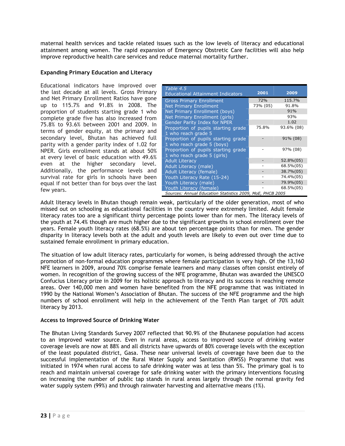maternal health services and tackle related issues such as the low levels of literacy and educational attainment among women. The rapid expansion of Emergency Obstretic Care facilities will also help improve reproductive health care services and reduce maternal mortality further.

# Expanding Primary Education and Literacy

Educational indicators have improved over the last decade at all levels. Gross Primary and Net Primary Enrollment Ratios have gone up to 115.7% and 91.8% in 2008. The proportion of students starting grade 1 who complete grade five has also increased from 75.8% to 93.6% between 2001 and 2009. In terms of gender equity, at the primary and secondary level, Bhutan has achieved full parity with a gender parity index of 1.02 for NPER. Girls enrollment stands at about 50% at every level of basic education with 49.6% even at the higher secondary level. Additionally, the performance levels and survival rate for girls in schools have been equal if not better than for boys over the last few years.

| Table 4.5<br><b>Educational Attainment Indicators</b>     | 2001       | 2009       |
|-----------------------------------------------------------|------------|------------|
| <b>Gross Primary Enrollment</b>                           | <b>72%</b> | 115.7%     |
| <b>Net Primary Enrollment</b>                             | 73% (05)   | 91.8%      |
| Net Primary Enrollment (boys)                             |            | 91%        |
| Net Primary Enrollment (girls)                            |            | 93%        |
| <b>Gender Parity Index for NPER</b>                       |            | 1.02       |
| Proportion of pupils starting grade                       | 75.8%      | 93.6% (08) |
| 1 who reach grade 5                                       |            |            |
| Proportion of pupils starting grade                       |            | 91% (08)   |
| 1 who reach grade 5 (boys)                                |            |            |
| Proportion of pupils starting grade                       |            | 97% (08)   |
| 1 who reach grade 5 (girls)                               |            |            |
| <b>Adult Literacy</b>                                     |            | 52.8%(05)  |
| Adult Literacy (male)                                     |            | 68.5%(05)  |
| Adult Literacy (female)                                   |            | 38.7%(05)  |
| Youth Literacy Rate (15-24)                               |            | 74.4%(05)  |
| Youth Literacy (male)                                     |            | 79.9%(05)  |
| Youth Literacy (female)                                   |            | 68.5%(05)  |
| Sources: Annual Education Statistics 2009, MoE, PHCB 2005 |            |            |

Adult literacy levels in Bhutan though remain weak, particularly of the older generation, most of who missed out on schooling as educational facilities in the country were extremely limited. Adult female literacy rates too are a significant thirty percentage points lower than for men. The literacy levels of the youth at 74.4% though are much higher due to the significant growths in school enrollment over the years. Female youth literacy rates (68.5%) are about ten percentage points than for men. The gender disparity in literacy levels both at the adult and youth levels are likely to even out over time due to sustained female enrollment in primary education.

The situation of low adult literacy rates, particularly for women, is being addressed through the active promotion of non-formal education programmes where female participation is very high. Of the 13,160 NFE learners in 2009, around 70% comprise female learners and many classes often consist entirely of women. In recognition of the growing success of the NFE programme, Bhutan was awarded the UNESCO Confucius Literacy prize in 2009 for its holistic approach to literacy and its success in reaching remote areas. Over 140,000 men and women have benefited from the NFE programme that was initiated in 1990 by the National Women's Association of Bhutan. The success of the NFE programme and the high numbers of school enrollment will help in the achievement of the Tenth Plan target of 70% adult literacy by 2013.

# Access to Improved Source of Drinking Water

The Bhutan Living Standards Survey 2007 reflected that 90.9% of the Bhutanese population had access to an improved water source. Even in rural areas, access to improved source of drinking water coverage levels are now at 88% and all districts have upwards of 80% coverage levels with the exception of the least populated district, Gasa. These near universal levels of coverage have been due to the successful implementation of the Rural Water Supply and Sanitation (RWSS) Programme that was initiated in 1974 when rural access to safe drinking water was at less than 5%. The primary goal is to reach and maintain universal coverage for safe drinking water with the primary interventions focusing on increasing the number of public tap stands in rural areas largely through the normal gravity fed water supply system (99%) and through rainwater harvesting and alternative means (1%).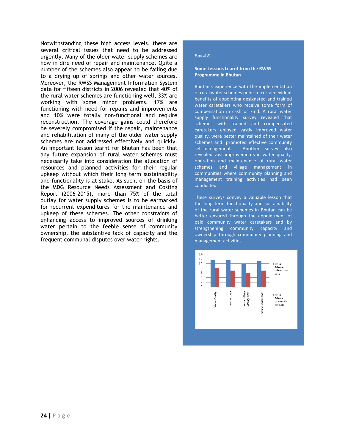Notwithstanding these high access levels, there are several critical issues that need to be addressed urgently. Many of the older water supply schemes are now in dire need of repair and maintenance. Quite a number of the schemes also appear to be failing due to a drying up of springs and other water sources. Moreover, the RWSS Management Information System data for fifteen districts in 2006 revealed that 40% of the rural water schemes are functioning well, 33% are working with some minor problems, 17% are functioning with need for repairs and improvements and 10% were totally non-functional and require reconstruction. The coverage gains could therefore be severely compromised if the repair, maintenance and rehabilitation of many of the older water supply schemes are not addressed effectively and quickly. An important lesson learnt for Bhutan has been that any future expansion of rural water schemes must necessarily take into consideration the allocation of resources and planned activities for their regular upkeep without which their long term sustainability and functionality is at stake. As such, on the basis of the MDG Resource Needs Assessment and Costing Report (2006-2015), more than 75% of the total outlay for water supply schemes is to be earmarked for recurrent expenditures for the maintenance and upkeep of these schemes. The other constraints of enhancing access to improved sources of drinking water pertain to the feeble sense of community ownership, the substantive lack of capacity and the frequent communal disputes over water rights.

#### Box 4.6

#### Some Lessons Learnt from the RWSS Programme in Bhutan

Bhutan's experience with the implementation of rural water schemes point to certain evident benefits of appointing designated and trained water caretakers who receive some form of compensation in cash or kind. A rural water supply functionality survey revealed that schemes with trained and compensated caretakers enjoyed vastly improved water quality, were better maintained of their water schemes and promoted effective community self-management. Another survey also revealed vast improvements in water quality, operation and maintenance of rural water schemes and village management in communities where community planning and management training activities had been conducted.

These surveys convey a valuable lesson that the long term functionality and sustainability of the rural water schemes in Bhutan can be better ensured through the appointment of paid community water caretakers and by strengthening community capacity and ownership through community planning and management activities.

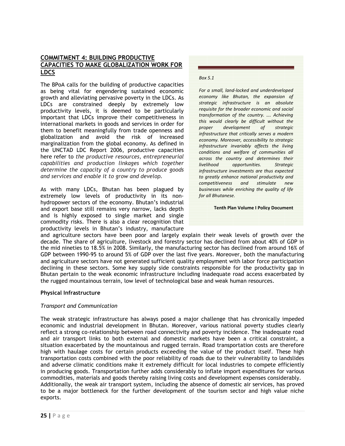# COMMITMENT 4: BUILDING PRODUCTIVE CAPACITIES TO MAKE GLOBALIZATION WORK FOR LDCS

The BPoA calls for the building of productive capacities as being vital for engendering sustained economic growth and alleviating pervasive poverty in the LDCs. As LDCs are constrained deeply by extremely low productivity levels, it is deemed to be particularly important that LDCs improve their competitiveness in international markets in goods and services in order for them to benefit meaningfully from trade openness and globalization and avoid the risk of increased marginalization from the global economy. As defined in the UNCTAD LDC Report 2006, productive capacities here refer to the productive resources, entrepreneurial capabilities and production linkages which together determine the capacity of a country to produce goods and services and enable it to grow and develop.

As with many LDCs, Bhutan has been plagued by extremely low levels of productivity in its nonhydropower sectors of the economy. Bhutan's industrial and export base still remains very narrow, lacks depth and is highly exposed to single market and single commodity risks. There is also a clear recognition that productivity levels in Bhutan's industry, manufacture

#### Box 5.1

For a small, land-locked and underdeveloped economy like Bhutan, the expansion of strategic infrastructure is an absolute requisite for the broader economic and social transformation of the country. …. Achieving this would clearly be difficult without the proper development of strategic infrastructure that critically serves a modern economy. Moreover, accessibility to strategic infrastructure invariably affects the living conditions and welfare of communities all across the country and determines their livelihood opportunities. Strategic infrastructure investments are thus expected to greatly enhance national productivity and competitiveness and stimulate new businesses while enriching the quality of life for all Bhutanese.

Tenth Plan Volume I Policy Document

and agriculture sectors have been poor and largely explain their weak levels of growth over the decade. The share of agriculture, livestock and forestry sector has declined from about 40% of GDP in the mid nineties to 18.5% in 2008. Similarly, the manufacturing sector has declined from around 16% of GDP between 1990-95 to around 5% of GDP over the last five years. Moreover, both the manufacturing and agriculture sectors have not generated sufficient quality employment with labor force participation declining in these sectors. Some key supply side constraints responsible for the productivity gap in Bhutan pertain to the weak economic infrastructure including inadequate road access exacerbated by the rugged mountainous terrain, low level of technological base and weak human resources.

# Physical Infrastructure

# Transport and Communication

The weak strategic infrastructure has always posed a major challenge that has chronically impeded economic and industrial development in Bhutan. Moreover, various national poverty studies clearly reflect a strong co-relationship between road connectivity and poverty incidence. The inadequate road and air transport links to both external and domestic markets have been a critical constraint, a situation exacerbated by the mountainous and rugged terrain. Road transportation costs are therefore high with haulage costs for certain products exceeding the value of the product itself. These high transportation costs combined with the poor reliability of roads due to their vulnerability to landslides and adverse climatic conditions make it extremely difficult for local industries to compete efficiently in producing goods. Transportation further adds considerably to inflate import expenditures for various commodities, materials and goods thereby raising living costs and development expenses considerably. Additionally, the weak air transport system, including the absence of domestic air services, has proved to be a major bottleneck for the further development of the tourism sector and high value niche exports.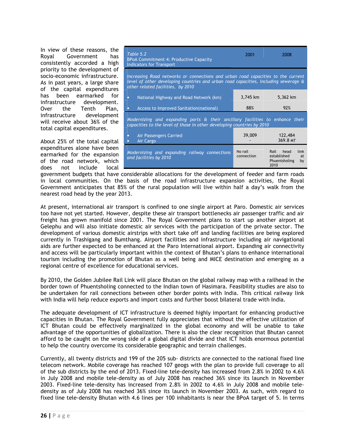In view of these reasons, the Royal Government has consistently accorded a high priority to the development of socio-economic infrastructure. As in past years, a large share of the capital expenditures has been earmarked for infrastructure development. Over the Tenth Plan, infrastructure development will receive about 36% of the total capital expenditures.

About 25% of the total capital expenditures alone have been earmarked for the expansion of the road network, which does not include local

| Table 5.2<br>BPoA Commitment 4: Productive Capacity<br><b>Indicators for Transport</b>                                                                                                                       | 2001                  | 2008                                                                  |
|--------------------------------------------------------------------------------------------------------------------------------------------------------------------------------------------------------------|-----------------------|-----------------------------------------------------------------------|
| Increasing Road networks or connections and urban road capacities to the current<br>level of other developing countries and urban road capacities, including sewerage &<br>other related facilities, by 2010 |                       |                                                                       |
| National Highway and Road Network (km)<br>$\bullet$                                                                                                                                                          | 3,745 km              | 5,362 km                                                              |
| Access to Improved Sanitation (national)                                                                                                                                                                     | 88%                   | 92%                                                                   |
| Modernizing and expanding ports & their ancillary facilities to enhance their<br>capacities to the level of those in other developing countries by 2010                                                      |                       |                                                                       |
| <b>Air Passengers Carried</b><br>۰<br>Air Cargo                                                                                                                                                              | 39,009                | 122,484<br>369.8 MT                                                   |
| Modernizing and expanding railway connections<br>and facilities by 2010                                                                                                                                      | No rail<br>connection | Rail head<br>link<br>established<br>at<br>Phuentsholing<br>bγ<br>2010 |

government budgets that have considerable allocations for the development of feeder and farm roads in local communities. On the basis of the road infrastructure expansion activities, the Royal Government anticipates that 85% of the rural population will live within half a day's walk from the nearest road head by the year 2013.

At present, international air transport is confined to one single airport at Paro. Domestic air services too have not yet started. However, despite these air transport bottlenecks air passenger traffic and air freight has grown manifold since 2001. The Royal Government plans to start up another airport at Gelephu and will also initiate domestic air services with the participation of the private sector. The development of various domestic airstrips with short take off and landing facilities are being explored currently in Trashigang and Bumthang. Airport facilities and infrastructure including air navigational aids are further expected to be enhanced at the Paro International airport. Expanding air connectivity and access will be particularly important within the context of Bhutan's plans to enhance international tourism including the promotion of Bhutan as a well being and MICE destination and emerging as a regional centre of excellence for educational services.

By 2010, the Golden Jubilee Rail Link will place Bhutan on the global railway map with a railhead in the border town of Phuentsholing connected to the Indian town of Hasimara. Feasibility studies are also to be undertaken for rail connections between other border points with India. This critical railway link with India will help reduce exports and import costs and further boost bilateral trade with India.

The adequate development of ICT infrastructure is deemed highly important for enhancing productive capacities in Bhutan. The Royal Government fully appreciates that without the effective utilization of ICT Bhutan could be effectively marginalized in the global economy and will be unable to take advantage of the opportunities of globalization. There is also the clear recognition that Bhutan cannot afford to be caught on the wrong side of a global digital divide and that ICT holds enormous potential to help the country overcome its considerable geographic and terrain challenges.

Currently, all twenty districts and 199 of the 205 sub- districts are connected to the national fixed line telecom network. Mobile coverage has reached 107 geogs with the plan to provide full coverage to all of the sub districts by the end of 2013. Fixed-line tele-density has increased from 2.8% in 2002 to 4.6% in July 2008 and mobile tele-density as of July 2008 has reached 36% since its launch in November 2003. Fixed-line tele-density has increased from 2.8% in 2002 to 4.6% in July 2008 and mobile teledensity as of July 2008 has reached 36% since its launch in November 2003. As such, with regard to fixed line tele-density Bhutan with 4.6 lines per 100 inhabitants is near the BPoA target of 5. In terms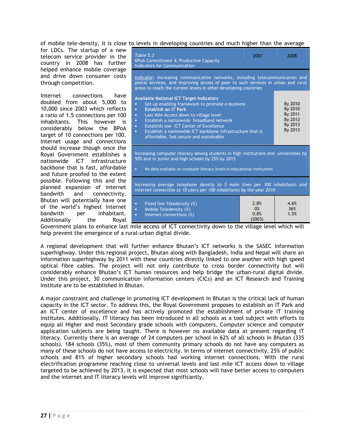of mobile tele-density, it is close to levels in developing countries and much higher than the average

for LDCs. The startup of a new telecom service provider in the country in 2008 has further helped enhance mobile coverage and drive down consumer costs through competition.

Internet connections have doubled from about 5,000 to 10,000 since 2003 which reflects a ratio of 1.5 connections per 100 inhabitants. This however is considerably below the BPoA target of 10 connections per 100. Internet usage and connections should increase though once the Royal Government establishes a nationwide ICT infrastructure backbone that is fast, affordable and future proofed to the extent possible. Following this and the planned expansion of internet<br>bandwith and connectivity, and connectivity, Bhutan will potentially have one of the world's highest internet bandwith per inhabitant. Additionally the Royal

| Table 5.3<br><b>BPoA Commitment 4: Productive Capacity</b><br><b>Indicators for Communication</b>                                                                                                                                                                                                                                                                                                                        | 2001                         | 2008                                                           |  |  |  |  |  |  |
|--------------------------------------------------------------------------------------------------------------------------------------------------------------------------------------------------------------------------------------------------------------------------------------------------------------------------------------------------------------------------------------------------------------------------|------------------------------|----------------------------------------------------------------|--|--|--|--|--|--|
| Indicator: Increasing communication networks, including telecommunication and<br>postal services, and improving access of poor to such services in urban and rural<br>areas to reach the current levels in other developing countries                                                                                                                                                                                    |                              |                                                                |  |  |  |  |  |  |
| <b>Available National ICT Target Indicators</b><br>Set up enabling framework to promote e-business<br>$\bullet$<br><b>Establish an IT Park</b><br>ō<br>Last Mile Access down to village level<br>o<br>Establish a nationwide broadband network<br>$\bullet$<br>Establish one ICT Center of Excellence<br>o<br>Establish a nationwide ICT backbone infrastructure that is<br>ō<br>affordable, fast secure and sustainable |                              | By 2010<br>By 2010<br>By 2011<br>By 2013<br>By 2013<br>By 2013 |  |  |  |  |  |  |
| Increasing computer literacy among students in high institutions and universities by<br>50% and in junior and high schools by 25% by 2015                                                                                                                                                                                                                                                                                |                              |                                                                |  |  |  |  |  |  |
| No data available on computer literacy levels in educational institutions                                                                                                                                                                                                                                                                                                                                                |                              |                                                                |  |  |  |  |  |  |
| Increasing average telephone density to 5 main lines per 100 inhabitants and<br>internet connection to 10 users per 100 inhabitants by the year 2010                                                                                                                                                                                                                                                                     |                              |                                                                |  |  |  |  |  |  |
| Fixed line Teledensity (%)<br>$\bullet$<br>Mobile Teledensity (%)<br>۰<br>Internet connections (%)<br>۰                                                                                                                                                                                                                                                                                                                  | 2.8%<br>0%<br>0.8%<br>(2003) | 4.6%<br>36%<br>1.5%                                            |  |  |  |  |  |  |

Government plans to enhance last mile access of ICT connectivity down to the village level which will help prevent the emergence of a rural-urban digital divide.

A regional development that will further enhance Bhutan's ICT networks is the SASEC information superhighway. Under this regional project, Bhutan along with Bangladesh, India and Nepal will share an information superhighway by 2011 with these countries directly linked to one another with high speed optical fibre cables. The project will not only contribute to cross border connectivity but will considerably enhance Bhutan's ICT human resources and help bridge the urban-rural digital divide. Under this project, 30 communication information centers (CICs) and an ICT Research and Training Institute are to be established in Bhutan.

A major constraint and challenge in promoting ICT development in Bhutan is the critical lack of human capacity in the ICT sector. To address this, the Royal Government proposes to establish an IT Park and an ICT center of excellence and has actively promoted the establishment of private IT training institutes. Additionally, IT literacy has been introduced in all schools as a tool subject with efforts to equip all Higher and most Secondary grade schools with computers. Computer science and computer application subjects are being taught. There is however no available data at present regarding IT literacy. Currently there is an average of 24 computers per school in 62% of all schools in Bhutan (335 schools). 184 schools (35%), most of them community primary schools do not have any computers as many of these schools do not have access to electricity. In terms of internet connectivity, 25% of public schools and 81% of higher secondary schools had working internet connections. With the rural electrification programme reaching close to universal levels and last mile ICT access down to village targeted to be achieved by 2013, it is expected that most schools will have better access to computers and the internet and IT literacy levels will improve significantly.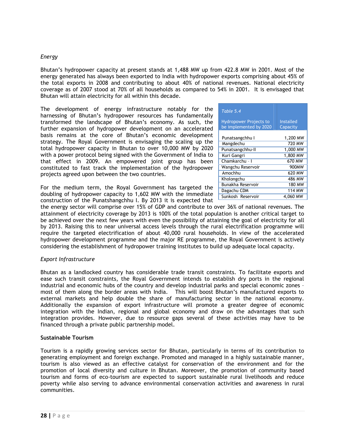# Energy

Bhutan's hydropower capacity at present stands at 1,488 MW up from 422.8 MW in 2001. Most of the energy generated has always been exported to India with hydropower exports comprising about 45% of the total exports in 2008 and contributing to about 40% of national revenues. National electricity coverage as of 2007 stood at 70% of all households as compared to 54% in 2001. It is envisaged that Bhutan will attain electricity for all within this decade.

The development of energy infrastructure notably for the harnessing of Bhutan's hydropower resources has fundamentally transformed the landscape of Bhutan's economy. As such, the further expansion of hydropower development on an accelerated basis remains at the core of Bhutan's economic development strategy. The Royal Government is envisaging the scaling up the total hydropower capacity in Bhutan to over 10,000 MW by 2020 with a power protocol being signed with the Government of India to that effect in 2009. An empowered joint group has been constituted to fast track the implementation of the hydropower projects agreed upon between the two countries.

For the medium term, the Royal Government has targeted the doubling of hydropower capacity to 1,602 MW with the immediate construction of the Punatshangchhu I. By 2013 it is expected that

| Table 5.4                                               |                              |
|---------------------------------------------------------|------------------------------|
| <b>Hydropower Projects to</b><br>be implemented by 2020 | <b>Installed</b><br>Capacity |
| Punatsangchhu I                                         | 1,200 MW                     |
| Mangdechu                                               | 720 MW                       |
| Punatsangchhu-II                                        | 1,000 MW                     |
| Kuri Gangri                                             | 1,800 MW                     |
| Chamkarchu - I                                          | 670 MW                       |
| Wangchu Reservoir                                       | 900 <sub>M</sub> W           |
| Amochhu                                                 | 620 MW                       |
| Kholongchu                                              | 486 MW                       |
| Bunakha Reservoir                                       | 180 MW                       |
| Dagachu CDM                                             | 114 MW                       |
| Sunkosh Reservoir                                       | 4,060 MW                     |

the energy sector will comprise over 15% of GDP and contribute to over 36% of national revenues. The attainment of electricity coverage by 2013 is 100% of the total population is another critical target to be achieved over the next few years with even the possibility of attaining the goal of electricity for all by 2013. Raising this to near universal access levels through the rural electrification programme will require the targeted electrification of about 40,000 rural households. In view of the accelerated hydropower development programme and the major RE programme, the Royal Government is actively considering the establishment of hydropower training institutes to build up adequate local capacity.

#### Export Infrastructure

Bhutan as a landlocked country has considerable trade transit constraints. To facilitate exports and ease such transit constraints, the Royal Government intends to establish dry ports in the regional industrial and economic hubs of the country and develop industrial parks and special economic zones – most of them along the border areas with India. This will boost Bhutan's manufactured exports to external markets and help double the share of manufacturing sector in the national economy. Additionally the expansion of export infrastructure will promote a greater degree of economic integration with the Indian, regional and global economy and draw on the advantages that such integration provides. However, due to resource gaps several of these activities may have to be financed through a private public partnership model.

#### Sustainable Tourism

Tourism is a rapidly growing services sector for Bhutan, particularly in terms of its contribution to generating employment and foreign exchange. Promoted and managed in a highly sustainable manner, tourism is also viewed as an effective catalyst for conservation of the environment and for the promotion of local diversity and culture in Bhutan. Moreover, the promotion of community based tourism and forms of eco-tourism are expected to support sustainable rural livelihoods and reduce poverty while also serving to advance environmental conservation activities and awareness in rural communities.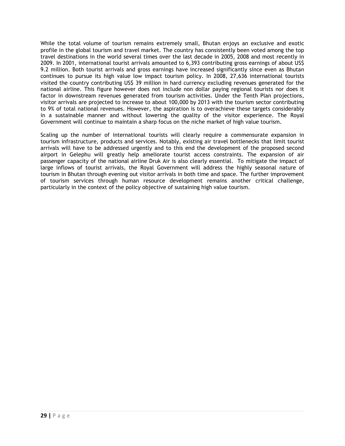While the total volume of tourism remains extremely small, Bhutan enjoys an exclusive and exotic profile in the global tourism and travel market. The country has consistently been voted among the top travel destinations in the world several times over the last decade in 2005, 2008 and most recently in 2009. In 2001, international tourist arrivals amounted to 6,393 contributing gross earnings of about US\$ 9.2 million. Both tourist arrivals and gross earnings have increased significantly since even as Bhutan continues to pursue its high value low impact tourism policy. In 2008, 27,636 international tourists visited the country contributing US\$ 39 million in hard currency excluding revenues generated for the national airline. This figure however does not include non dollar paying regional tourists nor does it factor in downstream revenues generated from tourism activities. Under the Tenth Plan projections, visitor arrivals are projected to increase to about 100,000 by 2013 with the tourism sector contributing to 9% of total national revenues. However, the aspiration is to overachieve these targets considerably in a sustainable manner and without lowering the quality of the visitor experience. The Royal Government will continue to maintain a sharp focus on the niche market of high value tourism.

Scaling up the number of international tourists will clearly require a commensurate expansion in tourism infrastructure, products and services. Notably, existing air travel bottlenecks that limit tourist arrivals will have to be addressed urgently and to this end the development of the proposed second airport in Gelephu will greatly help ameliorate tourist access constraints. The expansion of air passenger capacity of the national airline Druk Air is also clearly essential. To mitigate the impact of large inflows of tourist arrivals, the Royal Government will address the highly seasonal nature of tourism in Bhutan through evening out visitor arrivals in both time and space. The further improvement of tourism services through human resource development remains another critical challenge, particularly in the context of the policy objective of sustaining high value tourism.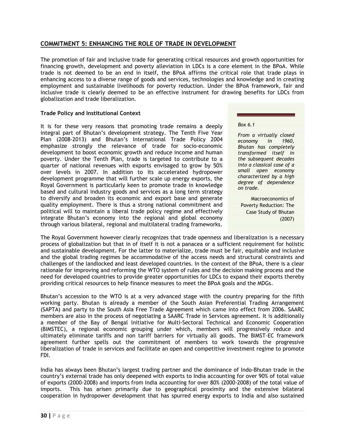# COMMITMENT 5: ENHANCING THE ROLE OF TRADE IN DEVELOPMENT

The promotion of fair and inclusive trade for generating critical resources and growth opportunities for financing growth, development and poverty alleviation in LDCs is a core element in the BPoA. While trade is not deemed to be an end in itself, the BPoA affirms the critical role that trade plays in enhancing access to a diverse range of goods and services, technologies and knowledge and in creating employment and sustainable livelihoods for poverty reduction. Under the BPoA framework, fair and inclusive trade is clearly deemed to be an effective instrument for drawing benefits for LDCs from globalization and trade liberalization.

# Trade Policy and Institutional Context

It is for these very reasons that promoting trade remains a deeply integral part of Bhutan's development strategy. The Tenth Five Year Plan (2008-2013) and Bhutan's International Trade Policy 2004 emphasize strongly the relevance of trade for socio-economic development to boost economic growth and reduce income and human poverty. Under the Tenth Plan, trade is targeted to contribute to a quarter of national revenues with exports envisaged to grow by 50% over levels in 2007. In addition to its accelerated hydropower development programme that will further scale up energy exports, the Royal Government is particularly keen to promote trade in knowledge based and cultural industry goods and services as a long term strategy to diversify and broaden its economic and export base and generate quality employment. There is thus a strong national commitment and political will to maintain a liberal trade policy regime and effectively integrate Bhutan's economy into the regional and global economy through various bilateral, regional and multilateral trading frameworks.

Box 6.1

From a virtually closed economy in 1960, Bhutan has completely transformed itself in the subsequent decades into a classical case of a small open economy characterized by a high degree of dependence on trade.

Macroeconomics of Poverty Reduction: The Case Study of Bhutan (2007)

The Royal Government however clearly recognizes that trade openness and liberalization is a necessary process of globalization but that in of itself it is not a panacea or a sufficient requirement for holistic and sustainable development. For the latter to materialize, trade must be fair, equitable and inclusive and the global trading regimes be accommodative of the access needs and structural constraints and challenges of the landlocked and least developed countries. In the context of the BPoA, there is a clear rationale for improving and reforming the WTO system of rules and the decision making process and the need for developed countries to provide greater opportunities for LDCs to expand their exports thereby providing critical resources to help finance measures to meet the BPoA goals and the MDGs.

Bhutan's accession to the WTO is at a very advanced stage with the country preparing for the fifth working party. Bhutan is already a member of the South Asian Preferential Trading Arrangement (SAPTA) and party to the South Asia Free Trade Agreement which came into effect from 2006. SAARC members are also in the process of negotiating a SAARC Trade in Services agreement. It is additionally a member of the Bay of Bengal Initiative for Multi-Sectoral Technical and Economic Cooperation (BIMSTEC), a regional economic grouping under which, members will progressively reduce and ultimately eliminate tariffs and non tariff barriers for virtually all goods. The BIMST-EC framework agreement further spells out the commitment of members to work towards the progressive liberalization of trade in services and facilitate an open and competitive investment regime to promote FDI.

India has always been Bhutan's largest trading partner and the dominance of Indo-Bhutan trade in the country's external trade has only deepened with exports to India accounting for over 90% of total value of exports (2000-2008) and imports from India accounting for over 80% (2000-2008) of the total value of imports. This has arisen primarily due to geographical proximity and the extensive bilateral cooperation in hydropower development that has spurred energy exports to India and also sustained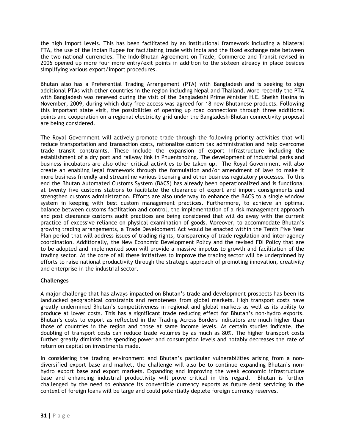the high import levels. This has been facilitated by an institutional framework including a bilateral FTA, the use of the Indian Rupee for facilitating trade with India and the fixed exchange rate between the two national currencies. The Indo-Bhutan Agreement on Trade, Commerce and Transit revised in 2006 opened up more four more entry/exit points in addition to the sixteen already in place besides simplifying various export/import procedures.

Bhutan also has a Preferential Trading Arrangement (PTA) with Bangladesh and is seeking to sign additional PTAs with other countries in the region including Nepal and Thailand. More recently the PTA with Bangladesh was renewed during the visit of the Bangladeshi Prime Minister H.E. Sheikh Hasina in November, 2009, during which duty free access was agreed for 18 new Bhutanese products. Following this important state visit, the possibilities of opening up road connections through three additional points and cooperation on a regional electricity grid under the Bangladesh-Bhutan connectivity proposal are being considered.

The Royal Government will actively promote trade through the following priority activities that will reduce transportation and transaction costs, rationalize custom tax administration and help overcome trade transit constraints. These include the expansion of export infrastructure including the establishment of a dry port and railway link in Phuentsholing. The development of industrial parks and business incubators are also other critical activities to be taken up. The Royal Government will also create an enabling legal framework through the formulation and/or amendment of laws to make it more business friendly and streamline various licensing and other business regulatory processes. To this end the Bhutan Automated Customs System (BACS) has already been operationalized and is functional at twenty five customs stations to facilitate the clearance of export and import consignments and strengthen customs administration. Efforts are also underway to enhance the BACS to a single window system in keeping with best custom management practices. Furthermore, to achieve an optimal balance between customs facilitation and control, the implementation of a risk management approach and post clearance customs audit practices are being considered that will do away with the current practice of excessive reliance on physical examination of goods. Moreover, to accommodate Bhutan's growing trading arrangements, a Trade Development Act would be enacted within the Tenth Five Year Plan period that will address issues of trading rights, transparency of trade regulation and inter-agency coordination. Additionally, the New Economic Development Policy and the revised FDI Policy that are to be adopted and implemented soon will provide a massive impetus to growth and facilitation of the trading sector. At the core of all these initiatives to improve the trading sector will be underpinned by efforts to raise national productivity through the strategic approach of promoting innovation, creativity and enterprise in the industrial sector.

# **Challenges**

A major challenge that has always impacted on Bhutan's trade and development prospects has been its landlocked geographical constraints and remoteness from global markets. High transport costs have greatly undermined Bhutan's competitiveness in regional and global markets as well as its ability to produce at lower costs. This has a significant trade reducing effect for Bhutan's non-hydro exports. Bhutan's costs to export as reflected in the Trading Across Borders indicators are much higher than those of countries in the region and those at same income levels. As certain studies indicate, the doubling of transport costs can reduce trade volumes by as much as 80%. The higher transport costs further greatly diminish the spending power and consumption levels and notably decreases the rate of return on capital on investments made.

In considering the trading environment and Bhutan's particular vulnerabilities arising from a nondiversified export base and market, the challenge will also be to continue expanding Bhutan's nonhydro export base and export markets. Expanding and improving the weak economic infrastructure base and enhancing industrial productivity will prove critical in this regard. Bhutan is further challenged by the need to enhance its convertible currency exports as future debt servicing in the context of foreign loans will be large and could potentially deplete foreign currency reserves.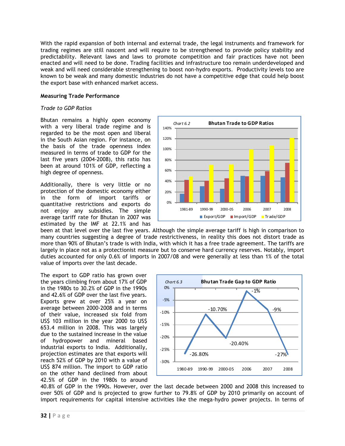With the rapid expansion of both internal and external trade, the legal instruments and framework for trading regimes are still nascent and will require to be strengthened to provide policy stability and predictability. Relevant laws and laws to promote competition and fair practices have not been enacted and will need to be done. Trading facilities and infrastructure too remain underdeveloped and weak and will need considerable strengthening to boost non-hydro exports. Productivity levels too are known to be weak and many domestic industries do not have a competitive edge that could help boost the export base with enhanced market access.

#### Measuring Trade Performance

#### Trade to GDP Ratios

Bhutan remains a highly open economy with a very liberal trade regime and is regarded to be the most open and liberal in the South Asian region. For instance, on the basis of the trade openness index measured in terms of trade to GDP for the last five years (2004-2008), this ratio has been at around 101% of GDP, reflecting a high degree of openness.

Additionally, there is very little or no protection of the domestic economy either in the form of import tariffs or quantitative restrictions and exports do not enjoy any subsidies. The simple average tariff rate for Bhutan in 2007 was estimated by the IMF at 22.1% and has



been at that level over the last five years. Although the simple average tariff is high in comparison to many countries suggesting a degree of trade restrictiveness, in reality this does not distort trade as more than 90% of Bhutan's trade is with India, with which it has a free trade agreement. The tariffs are largely in place not as a protectionist measure but to conserve hard currency reserves. Notably, import duties accounted for only 0.6% of imports in 2007/08 and were generally at less than 1% of the total value of imports over the last decade.

The export to GDP ratio has grown over the years climbing from about 17% of GDP in the 1980s to 30.2% of GDP in the 1990s and 42.6% of GDP over the last five years. Exports grew at over 25% a year on average between 2000-2008 and in terms of their value, increased six fold from US\$ 103 million in the year 2000 to US\$ 653.4 million in 2008. This was largely due to the sustained increase in the value of hydropower and mineral based industrial exports to India. Additionally, projection estimates are that exports will reach 52% of GDP by 2010 with a value of US\$ 874 million. The import to GDP ratio on the other hand declined from about 42.5% of GDP in the 1980s to around



40.8% of GDP in the 1990s. However, over the last decade between 2000 and 2008 this increased to over 50% of GDP and is projected to grow further to 79.8% of GDP by 2010 primarily on account of import requirements for capital intensive activities like the mega-hydro power projects. In terms of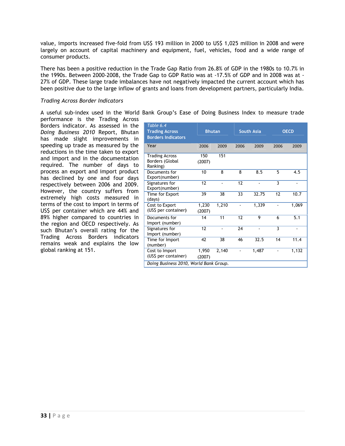value, imports increased five-fold from US\$ 193 million in 2000 to US\$ 1,025 million in 2008 and were largely on account of capital machinery and equipment, fuel, vehicles, food and a wide range of consumer products.

There has been a positive reduction in the Trade Gap Ratio from 26.8% of GDP in the 1980s to 10.7% in the 1990s. Between 2000-2008, the Trade Gap to GDP Ratio was at -17.5% of GDP and in 2008 was at - 27% of GDP. These large trade imbalances have not negatively impacted the current account which has been positive due to the large inflow of grants and loans from development partners, particularly India.

#### Trading Across Border Indicators

A useful sub-index used in the World Bank Group's Ease of Doing Business Index to measure trade

performance is the Trading Across Borders indicator. As assessed in the Doing Business 2010 Report, Bhutan has made slight improvements in speeding up trade as measured by the reductions in the time taken to export and import and in the documentation required. The number of days to process an export and import product has declined by one and four days respectively between 2006 and 2009. However, the country suffers from extremely high costs measured in terms of the cost to import in terms of US\$ per container which are 44% and 89% higher compared to countries in the region and OECD respectively. As such Bhutan's overall rating for the Trading Across Borders indicators remains weak and explains the low global ranking at 151.

| Table 6.4<br><b>Trading Across</b><br><b>Borders Indicators</b> | <b>Bhutan</b>   |       |      | <b>South Asia</b> |      | <b>OECD</b> |
|-----------------------------------------------------------------|-----------------|-------|------|-------------------|------|-------------|
| Year                                                            | 2006            | 2009  | 2006 | 2009              | 2006 | 2009        |
| <b>Trading Across</b><br>Borders (Global<br>Ranking)            | 150<br>(2007)   | 151   |      |                   |      |             |
| Documents for<br>Export(number)                                 | 10              | 8     | 8    | 8.5               | 5    | 4.5         |
| Signatures for<br>Export(number)                                | 12              |       | 12   |                   | 3    |             |
| Time for Export<br>(days)                                       | 39              | 38    | 33   | 32.75             | 12   | 10.7        |
| Cost to Export<br>(US\$ per container)                          | 1,230<br>(2007) | 1,210 |      | 1,339             |      | 1,069       |
| Documents for<br>Import (number)                                | 14              | 11    | 12   | 9                 | 6    | 5.1         |
| Signatures for<br>Import (number)                               | 12              |       | 24   |                   | 3    |             |
| Time for Import<br>(number)                                     | 47              | 38    | 46   | 32.5              | 14   | 11.4        |
| Cost to Import<br>(US\$ per container)                          | 1,950<br>(2007) | 2,140 |      | 1,487             |      | 1,132       |
| Doing Business 2010, World Bank Group.                          |                 |       |      |                   |      |             |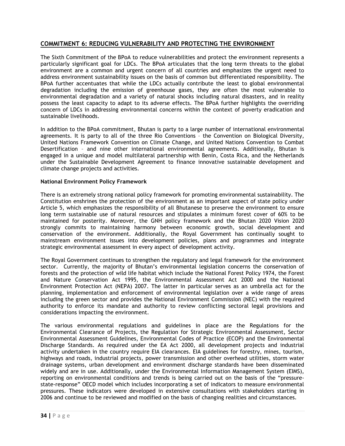# COMMITMENT 6: REDUCING VULNERABILITY AND PROTECTING THE ENVIRONMENT

The Sixth Commitment of the BPoA to reduce vulnerabilities and protect the environment represents a particularly significant goal for LDCs. The BPoA articulates that the long term threats to the global environment are a common and urgent concern of all countries and emphasizes the urgent need to address environment sustainability issues on the basis of common but differentiated responsibility. The BPoA further accentuates that while the LDCs actually contribute the least to global environmental degradation including the emission of greenhouse gases, they are often the most vulnerable to environmental degradation and a variety of natural shocks including natural disasters, and in reality possess the least capacity to adapt to its adverse effects. The BPoA further highlights the overriding concern of LDCs in addressing environmental concerns within the context of poverty eradication and sustainable livelihoods.

In addition to the BPoA commitment, Bhutan is party to a large number of international environmental agreements. It is party to all of the three Rio Conventions – the Convention on Biological Diversity, United Nations Framework Convention on Climate Change, and United Nations Convention to Combat Desertification – and nine other international environmental agreements. Additionally, Bhutan is engaged in a unique and model multilateral partnership with Benin, Costa Rica, and the Netherlands under the Sustainable Development Agreement to finance innovative sustainable development and climate change projects and activities.

# National Environment Policy Framework

There is an extremely strong national policy framework for promoting environmental sustainability. The Constitution enshrines the protection of the environment as an important aspect of state policy under Article 5, which emphasizes the responsibility of all Bhutanese to preserve the environment to ensure long term sustainable use of natural resources and stipulates a minimum forest cover of 60% to be maintained for posterity. Moreover, the GNH policy framework and the Bhutan 2020 Vision 2020 strongly commits to maintaining harmony between economic growth, social development and conservation of the environment. Additionally, the Royal Government has continually sought to mainstream environment issues into development policies, plans and programmes and integrate strategic environmental assessment in every aspect of development activity.

The Royal Government continues to strengthen the regulatory and legal framework for the environment sector. Currently, the majority of Bhutan's environmental legislation concerns the conservation of forests and the protection of wild life habitat which include the National Forest Policy 1974, the Forest and Nature Conservation Act 1995, the Environmental Assessment Act 2000 and the National Environment Protection Act (NEPA) 2007. The latter in particular serves as an umbrella act for the planning, implementation and enforcement of environmental legislation over a wide range of areas including the green sector and provides the National Environment Commission (NEC) with the required authority to enforce its mandate and authority to review conflicting sectoral legal provisions and considerations impacting the environment.

The various environmental regulations and guidelines in place are the Regulations for the Environmental Clearance of Projects, the Regulation for Strategic Environmental Assessment, Sector Environmental Assessment Guidelines, Environmental Codes of Practice (ECOP) and the Environmental Discharge Standards. As required under the EA Act 2000, all development projects and industrial activity undertaken in the country require EIA clearances. EIA guidelines for forestry, mines, tourism, highways and roads, industrial projects, power transmission and other overhead utilities, storm water drainage systems, urban development and environment discharge standards have been disseminated widely and are in use. Additionally, under the Environmental Information Management System (EIMS), reporting on environmental conditions and trends is being carried out on the basis of the "pressurestate-response" OECD model which includes incorporating a set of indicators to measure environmental pressures. These indicators were developed in extensive consultations with stakeholders starting in 2006 and continue to be reviewed and modified on the basis of changing realities and circumstances.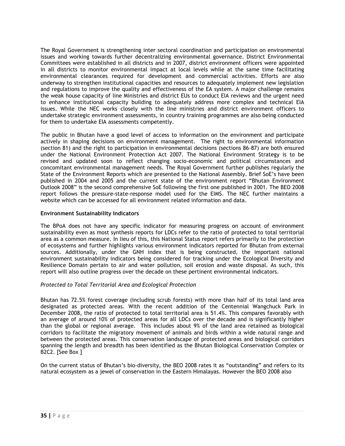The Royal Government is strengthening inter sectoral coordination and participation on environmental issues and working towards further decentralizing environmental governance. District Environmental Committees were established in all districts and in 2007, district environment officers were appointed in all districts to monitor environmental impact at local levels while at the same time facilitating environmental clearances required for development and commercial activities. Efforts are also underway to strengthen institutional capacities and resources to adequately implement new legislation and regulations to improve the quality and effectiveness of the EA system. A major challenge remains the weak house capacity of line Ministries and district EUs to conduct EIA reviews and the urgent need to enhance institutional capacity building to adequately address more complex and technical EIA issues. While the NEC works closely with the line ministries and district environment officers to undertake strategic environment assessments, in country training programmes are also being conducted for them to undertake EIA assessments competently.

The public in Bhutan have a good level of access to information on the environment and participate actively in shaping decisions on environment management. The right to environmental information (section 81) and the right to participation in environmental decisions (sections 86-87) are both ensured under the National Environment Protection Act 2007. The National Environment Strategy is to be revised and updated soon to reflect changing socio-economic and political circumstances and concomitant environmental management needs. The Royal Government further publishes regularly the State of the Environment Reports which are presented to the National Assembly. Brief SoE's have been published in 2004 and 2005 and the current state of the environment report "Bhutan Environment Outlook 2008" is the second comprehensive SoE following the first one published in 2001. The BEO 2008 report follows the pressure-state-response model used for the EIMS. The NEC further maintains a website which can be accessed for all environment related information and data.

# Environment Sustainability Indicators

The BPoA does not have any specific indicator for measuring progress on account of environment sustainability even as most synthesis reports for LDCs refer to the ratio of protected to total territorial area as a common measure. In lieu of this, this National Status report refers primarily to the protection of ecosystems and further highlights various environment indicators reported for Bhutan from external sources. Additionally, under the GNH index that is being constructed, the important national environment sustainability indicators being considered for tracking under the Ecological Diversity and Resilience Domain pertain to air and water pollution, soil erosion and waste disposal. As such, this report will also outline progress over the decade on these pertinent environmental indicators.

# Protected to Total Territorial Area and Ecological Protection

Bhutan has 72.5% forest coverage (including scrub forests) with more than half of its total land area designated as protected areas. With the recent addition of the Centennial Wangchuck Park in December 2008, the ratio of protected to total territorial area is 51.4%. This compares favorably with an average of around 10% of protected areas for all LDCs over the decade and is significantly higher than the global or regional average. This includes about 9% of the land area retained as biological corridors to facilitate the migratory movement of animals and birds within a wide natural range and between the protected areas. This conservation landscape of protected areas and biological corridors spanning the length and breadth has been identified as the Bhutan Biological Conservation Complex or B2C2. [See Box ]

On the current status of Bhutan's bio-diversity, the BEO 2008 rates it as "outstanding" and refers to its natural ecosystem as a jewel of conservation in the Eastern Himalayas. However the BEO 2008 also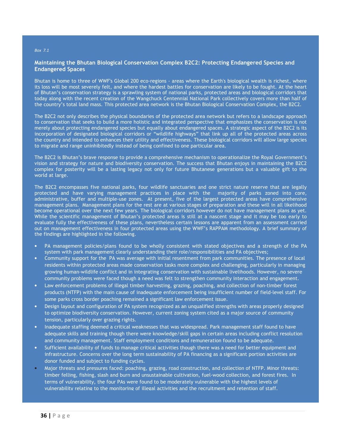#### Box 7.1

#### Maintaining the Bhutan Biological Conservation Complex B2C2: Protecting Endangered Species and Endangered Spaces

Bhutan is home to three of WWF's Global 200 eco-regions - areas where the Earth's biological wealth is richest, where its loss will be most severely felt, and where the hardest battles for conservation are likely to be fought. At the heart of Bhutan's conservation strategy is a sprawling system of national parks, protected areas and biological corridors that today along with the recent creation of the Wangchuck Centennial National Park collectively covers more than half of the country's total land mass. This protected area network is the Bhutan Biological Conservation Complex, the B2C2.

The B2C2 not only describes the physical boundaries of the protected area network but refers to a landscape approach to conservation that seeks to build a more holistic and integrated perspective that emphasizes the conservation is not merely about protecting endangered species but equally about endangered spaces. A strategic aspect of the B2C2 is its incorporation of designated biological corridors or "wildlife highways" that link up all of the protected areas across the country and intended to enhances their utility and effectiveness. These biological corridors will allow large species to migrate and range uninhibitedly instead of being confined to one particular area.

The B2C2 is Bhutan's brave response to provide a comprehensive mechanism to operationalize the Royal Government's vision and strategy for nature and biodiversity conservation. The success that Bhutan enjoys in maintaining the B2C2 complex for posterity will be a lasting legacy not only for future Bhutanese generations but a valuable gift to the world at large.

The B2C2 encompasses five national parks, four wildlife sanctuaries and one strict nature reserve that are legally protected and have varying management practices in place with the majority of parks zoned into core, administrative, buffer and multiple-use zones. At present, five of the largest protected areas have comprehensive management plans. Management plans for the rest are at various stages of preparation and these will in all likelihood become operational over the next few years. The biological corridors however do not have management plans as yet. While the scientific management of Bhutan's protected areas is still at a nascent stage and it may be too early to evaluate fully the effectiveness of these plans, nevertheless certain lessons are apparent from an assessment carried out on management effectiveness in four protected areas using the WWF's RAPPAM methodology. A brief summary of the findings are highlighted in the following.

- PA management policies/plans found to be wholly consistent with stated objectives and a strength of the PA system with park management clearly understanding their role/responsibilities and PA objectives;
- Community support for the PA was average with initial resentment from park communities. The presence of local residents within protected areas made conservation tasks more complex and challenging, particularly in managing growing human-wildlife conflict and in integrating conservation with sustainable livelihoods. However, no severe community problems were faced though a need was felt to strengthen community interaction and engagement.
- Law enforcement problems of illegal timber harvesting, grazing, poaching, and collection of non-timber forest products (NTFP) with the main cause of inadequate enforcement being insufficient number of field-level staff. For some parks cross border poaching remained a significant law enforcement issue.
- Design layout and configuration of PA system recognized as an unqualified strengths with areas properly designed to optimize biodiversity conservation. However, current zoning system cited as a major source of community tension, particularly over grazing rights.
- Inadequate staffing deemed a critical weaknesses that was widespread. Park management staff found to have adequate skills and training though there were knowledge/skill gaps in certain areas including conflict resolution and community management. Staff employment conditions and remuneration found to be adequate.
- Sufficient availability of funds to manage critical activities though there was a need for better equipment and infrastructure. Concerns over the long term sustainability of PA financing as a significant portion activities are donor funded and subject to funding cycles.
- Major threats and pressures faced: poaching, grazing, road construction, and collection of NTFP. Minor threats: timber felling, fishing, slash and burn and unsustainable cultivation, fuel-wood collection, and forest fires. In terms of vulnerability, the four PAs were found to be moderately vulnerable with the highest levels of vulnerability relating to the monitoring of illegal activities and the recruitment and retention of staff.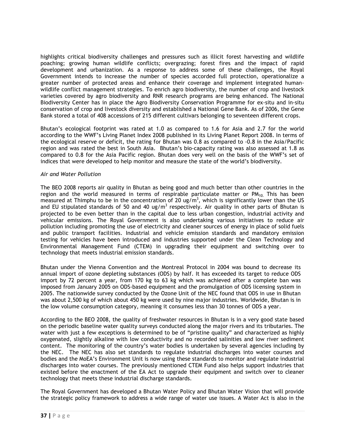highlights critical biodiversity challenges and pressures such as illicit forest harvesting and wildlife poaching; growing human wildlife conflicts; overgrazing; forest fires and the impact of rapid development and urbanization. As a response to address some of these challenges, the Royal Government intends to increase the number of species accorded full protection, operationalize a greater number of protected areas and enhance their coverage and implement integrated humanwildlife conflict management strategies. To enrich agro biodiversity, the number of crop and livestock varieties covered by agro biodiversity and RNR research programs are being enhanced. The National Biodiversity Center has in place the Agro Biodiversity Conservation Programme for ex-situ and in-situ conservation of crop and livestock diversity and established a National Gene Bank. As of 2006, the Gene Bank stored a total of 408 accessions of 215 different cultivars belonging to seventeen different crops.

Bhutan's ecological footprint was rated at 1.0 as compared to 1.6 for Asia and 2.7 for the world according to the WWF's Living Planet Index 2008 published in its Living Planet Report 2008. In terms of the ecological reserve or deficit, the rating for Bhutan was 0.8 as compared to -0.8 in the Asia/Pacific region and was rated the best in South Asia. Bhutan's bio-capacity rating was also assessed at 1.8 as compared to 0.8 for the Asia Pacific region. Bhutan does very well on the basis of the WWF's set of indices that were developed to help monitor and measure the state of the world's biodiversity.

#### Air and Water Pollution

The BEO 2008 reports air quality in Bhutan as being good and much better than other countries in the region and the world measured in terms of respirable particulate matter or  $PM_{10}$ . This has been measured at Thimphu to be in the concentration of 20 ug/m<sup>3</sup>, which is significantly lower than the US and EU stipulated standards of 50 and 40 ug/m<sup>3</sup> respectively. Air quality in other parts of Bhutan is projected to be even better than in the capital due to less urban congestion, industrial activity and vehicular emissions. The Royal Government is also undertaking various initiatives to reduce air pollution including promoting the use of electricity and cleaner sources of energy in place of solid fuels and public transport facilities. Industrial and vehicle emission standards and mandatory emission testing for vehicles have been introduced and industries supported under the Clean Technology and Environmental Management Fund (CTEM) in upgrading their equipment and switching over to technology that meets industrial emission standards.

Bhutan under the Vienna Convention and the Montreal Protocol in 2004 was bound to decrease its annual import of ozone depleting substances (ODS) by half. It has exceeded its target to reduce ODS import by 72 percent a year, from 170 kg to 63 kg which was achieved after a complete ban was imposed from January 2005 on ODS-based equipment and the promulgation of ODS licensing system in 2005. The nationwide survey conducted by the Ozone Unit of the NEC found that ODS in use in Bhutan was about 2,500 kg of which about 450 kg were used by nine major industries. Worldwide, Bhutan is in the low volume consumption category, meaning it consumes less than 30 tonnes of ODS a year.

According to the BEO 2008, the quality of freshwater resources in Bhutan is in a very good state based on the periodic baseline water quality surveys conducted along the major rivers and its tributaries. The water with just a few exceptions is determined to be of "pristine quality" and characterized as highly oxygenated, slightly alkaline with low conductivity and no recorded salinities and low river sediment content. The monitoring of the country's water bodies is undertaken by several agencies including by the NEC. The NEC has also set standards to regulate industrial discharges into water courses and bodies and the MoEA's Environment Unit is now using these standards to monitor and regulate industrial discharges into water courses. The previously mentioned CTEM Fund also helps support industries that existed before the enactment of the EA Act to upgrade their equipment and switch over to cleaner technology that meets these industrial discharge standards.

The Royal Government has developed a Bhutan Water Policy and Bhutan Water Vision that will provide the strategic policy framework to address a wide range of water use issues. A Water Act is also in the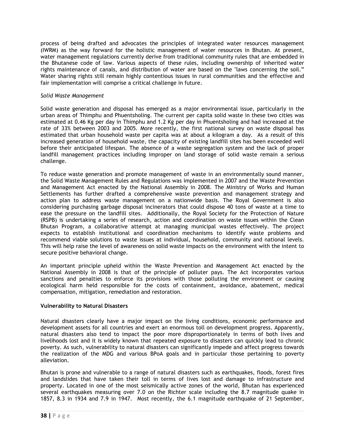process of being drafted and advocates the principles of integrated water resources management (IWRM) as the way forward for the holistic management of water resources in Bhutan. At present, water management regulations currently derive from traditional community rules that are embedded in the Bhutanese code of law. Various aspects of these rules, including ownership of inherited water rights maintenance of canals, and distribution of water are based on the "laws concerning the soil." Water sharing rights still remain highly contentious issues in rural communities and the effective and fair implementation will comprise a critical challenge in future.

#### Solid Waste Management

Solid waste generation and disposal has emerged as a major environmental issue, particularly in the urban areas of Thimphu and Phuentsholing. The current per capita solid waste in these two cities was estimated at 0.46 Kg per day in Thimphu and 1.2 Kg per day in Phuentsholing and had increased at the rate of 33% between 2003 and 2005. More recently, the first national survey on waste disposal has estimated that urban household waste per capita was at about a kilogram a day. As a result of this increased generation of household waste, the capacity of existing landfill sites has been exceeded well before their anticipated lifespan. The absence of a waste segregation system and the lack of proper landfill management practices including improper on land storage of solid waste remain a serious challenge.

To reduce waste generation and promote management of waste in an environmentally sound manner, the Solid Waste Management Rules and Regulations was implemented in 2007 and the Waste Prevention and Management Act enacted by the National Assembly in 2008. The Ministry of Works and Human Settlements has further drafted a comprehensive waste prevention and management strategy and action plan to address waste management on a nationwide basis. The Royal Government is also considering purchasing garbage disposal incinerators that could dispose 40 tons of waste at a time to ease the pressure on the landfill sites. Additionally, the Royal Society for the Protection of Nature (RSPB) is undertaking a series of research, action and coordination on waste issues within the Clean Bhutan Program, a collaborative attempt at managing municipal wastes effectively. The project expects to establish institutional and coordination mechanisms to identify waste problems and recommend viable solutions to waste issues at individual, household, community and national levels. This will help raise the level of awareness on solid waste impacts on the environment with the intent to secure positive behavioral change.

An important principle upheld within the Waste Prevention and Management Act enacted by the National Assembly in 2008 is that of the principle of polluter pays. The Act incorporates various sanctions and penalties to enforce its provisions with those polluting the environment or causing ecological harm held responsible for the costs of containment, avoidance, abatement, medical compensation, mitigation, remediation and restoration.

# Vulnerability to Natural Disasters

Natural disasters clearly have a major impact on the living conditions, economic performance and development assets for all countries and exert an enormous toll on development progress. Apparently, natural disasters also tend to impact the poor more disproportionately in terms of both lives and livelihoods lost and it is widely known that repeated exposure to disasters can quickly lead to chronic poverty. As such, vulnerability to natural disasters can significantly impede and affect progress towards the realization of the MDG and various BPoA goals and in particular those pertaining to poverty alleviation.

Bhutan is prone and vulnerable to a range of natural disasters such as earthquakes, floods, forest fires and landslides that have taken their toll in terms of lives lost and damage to infrastructure and property. Located in one of the most seismically active zones of the world, Bhutan has experienced several earthquakes measuring over 7.0 on the Richter scale including the 8.7 magnitude quake in 1857, 8.3 in 1934 and 7.9 in 1947. Most recently, the 6.1 magnitude earthquake of 21 September,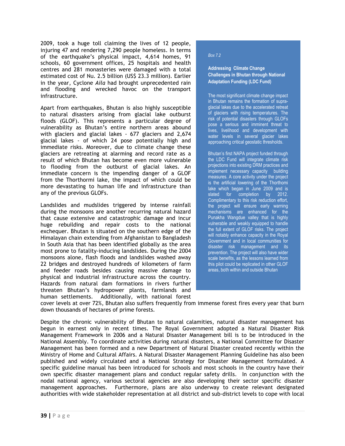2009, took a huge toll claiming the lives of 12 people, injuring 47 and rendering 7,290 people homeless. In terms of the earthquake's physical impact, 4,614 homes, 91 schools, 60 government offices, 25 hospitals and health centres and 281 monasteries were damaged with a total estimated cost of Nu. 2.5 billion (US\$ 23.3 million). Earlier in the year, Cyclone Aila had brought unprecedented rain and flooding and wrecked havoc on the transport infrastructure.

Apart from earthquakes, Bhutan is also highly susceptible to natural disasters arising from glacial lake outburst floods (GLOF). This represents a particular degree of vulnerability as Bhutan's entire northern areas abound with glaciers and glacial lakes - 677 glaciers and 2,674 glacial lakes - of which 24 pose potentially high and immediate risks. Moreover, due to climate change these glaciers are retreating at alarming and record rate as a result of which Bhutan has become even more vulnerable to flooding from the outburst of glacial lakes. An immediate concern is the impending danger of a GLOF from the Thorthormi lake, the impact of which could be more devastating to human life and infrastructure than any of the previous GLOFs.

Landslides and mudslides triggered by intense rainfall during the monsoons are another recurring natural hazard that cause extensive and catastrophic damage and incur huge rebuilding and repair costs to the national exchequer. Bhutan is situated on the southern edge of the Himalayan chain extending from Afghanistan to Bangladesh in South Asia that has been identified globally as the area most prone to fatality-inducing landslides. During the 2004 monsoons alone, flash floods and landslides washed away 22 bridges and destroyed hundreds of kilometers of farm and feeder roads besides causing massive damage to physical and industrial infrastructure across the country. Hazards from natural dam formations in rivers further threaten Bhutan's hydropower plants, farmlands and human settlements. Additionally, with national forest

#### Box 7.2

Addressing Climate Change Challenges in Bhutan through National Adaptation Funding (LDC Fund)

The most significant climate change impact in Bhutan remains the formation of supraglacial lakes due to the accelerated retreat of glaciers with rising temperatures. The risk of potential disasters through GLOFs pose a serious and imminent threat to .<br>lives, livelihood and development with water levels in several glacier lakes approaching critical geostatic thresholds.

Bhutan's first NAPA project funded through the LDC Fund will integrate climate risk projections into existing DRM practices and implement necessary capacity building measures. A core activity under the project is the artificial lowering of the Thorthomi lake which began in June 2009 and is slated for completion by 2012. Complimentary to this risk reduction effort, the project will ensure early warning mechanisms are enhanced for the Punakha Wangdue valley that is highly vulnerable and weakly equipped to handle the full extent of GLOF risks. The project will notably enhance capacity in the Royal Government and in local communities for disaster risk management and its prevention. The project will also have wider scale benefits, as the lessons learned from this pilot could be replicated in other GLOF areas, both within and outside Bhutan

cover levels at over 72%, Bhutan also suffers frequently from immense forest fires every year that burn down thousands of hectares of prime forests.

Despite the chronic vulnerability of Bhutan to natural calamities, natural disaster management has begun in earnest only in recent times. The Royal Government adopted a Natural Disaster Risk Management Framework in 2006 and a Natural Disaster Management bill is to be introduced in the National Assembly. To coordinate activities during natural disasters, a National Committee for Disaster Management has been formed and a new Department of Natural Disaster created recently within the Ministry of Home and Cultural Affairs. A Natural Disaster Management Planning Guideline has also been published and widely circulated and a National Strategy for Disaster Management formulated. A specific guideline manual has been introduced for schools and most schools in the country have their own specific disaster management plans and conduct regular safety drills. In conjunction with the nodal national agency, various sectoral agencies are also developing their sector specific disaster management approaches. Furthermore, plans are also underway to create relevant designated authorities with wide stakeholder representation at all district and sub-district levels to cope with local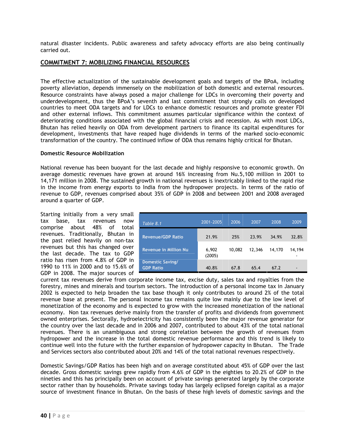natural disaster incidents. Public awareness and safety advocacy efforts are also being continually carried out.

# COMMITMENT 7: MOBILIZING FINANCIAL RESOURCES

The effective actualization of the sustainable development goals and targets of the BPoA, including poverty alleviation, depends immensely on the mobilization of both domestic and external resources. Resource constraints have always posed a major challenge for LDCs in overcoming their poverty and underdevelopment, thus the BPoA's seventh and last commitment that strongly calls on developed countries to meet ODA targets and for LDCs to enhance domestic resources and promote greater FDI and other external inflows. This commitment assumes particular significance within the context of deteriorating conditions associated with the global financial crisis and recession. As with most LDCs, Bhutan has relied heavily on ODA from development partners to finance its capital expenditures for development, investments that have reaped huge dividends in terms of the marked socio-economic transformation of the country. The continued inflow of ODA thus remains highly critical for Bhutan.

#### Domestic Resource Mobilization

National revenue has been buoyant for the last decade and highly responsive to economic growth. On average domestic revenues have grown at around 16% increasing from Nu.5,100 million in 2001 to 14,171 million in 2008. The sustained growth in national revenues is inextricably linked to the rapid rise in the income from energy exports to India from the hydropower projects. In terms of the ratio of revenue to GDP, revenues comprised about 35% of GDP in 2008 and between 2001 and 2008 averaged around a quarter of GDP.

Starting initially from a very small tax base, tax revenues now comprise about 48% of total revenues. Traditionally, Bhutan in the past relied heavily on non-tax revenues but this has changed over the last decade. The tax to GDP ratio has risen from 4.8% of GDP in 1990 to 11% in 2000 and to 15.6% of GDP in 2008. The major sources of

| Table 8.1                                   | 2001-2005       | 2006   | 2007   | 2008   | 2009                     |
|---------------------------------------------|-----------------|--------|--------|--------|--------------------------|
| <b>Revenue/GDP Ratio</b>                    | 21.9%           | 25%    | 23.9%  | 34.9%  | 32.8%                    |
| <b>Revenue in Million Nu</b>                | 6,902<br>(2005) | 10,082 | 12,346 | 14,170 | 14,194                   |
| <b>Domestic Saving/</b><br><b>GDP Ratio</b> | 40.8%           | 67.8   | 65.4   | 67.2   | $\overline{\phantom{0}}$ |

current tax revenues derive from corporate income tax, excise duty, sales tax and royalties from the forestry, mines and minerals and tourism sectors. The introduction of a personal income tax in January 2002 is expected to help broaden the tax base though it only contributes to around 2% of the total revenue base at present. The personal income tax remains quite low mainly due to the low level of monetization of the economy and is expected to grow with the increased monetization of the national economy. Non tax revenues derive mainly from the transfer of profits and dividends from government owned enterprises. Sectorally, hydroelectricity has consistently been the major revenue generator for the country over the last decade and in 2006 and 2007, contributed to about 43% of the total national revenues. There is an unambiguous and strong correlation between the growth of revenues from hydropower and the increase in the total domestic revenue performance and this trend is likely to continue well into the future with the further expansion of hydropower capacity in Bhutan. The Trade and Services sectors also contributed about 20% and 14% of the total national revenues respectively.

Domestic Savings/GDP Ratios has been high and on average constituted about 45% of GDP over the last decade. Gross domestic savings grew rapidly from 4.6% of GDP in the eighties to 20.2% of GDP in the nineties and this has principally been on account of private savings generated largely by the corporate sector rather than by households. Private savings today has largely eclipsed foreign capital as a major source of investment finance in Bhutan. On the basis of these high levels of domestic savings and the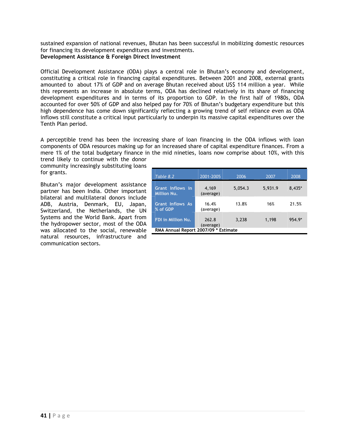sustained expansion of national revenues, Bhutan has been successful in mobilizing domestic resources for financing its development expenditures and investments. Development Assistance & Foreign Direct Investment

Official Development Assistance (ODA) plays a central role in Bhutan's economy and development, constituting a critical role in financing capital expenditures. Between 2001 and 2008, external grants amounted to about 17% of GDP and on average Bhutan received about US\$ 114 million a year. While this represents an increase in absolute terms, ODA has declined relatively in its share of financing development expenditures and in terms of its proportion to GDP. In the first half of 1980s, ODA accounted for over 50% of GDP and also helped pay for 70% of Bhutan's budgetary expenditure but this high dependence has come down significantly reflecting a growing trend of self reliance even as ODA inflows still constitute a critical input particularly to underpin its massive capital expenditures over the Tenth Plan period.

A perceptible trend has been the increasing share of loan financing in the ODA inflows with loan components of ODA resources making up for an increased share of capital expenditure finances. From a mere 1% of the total budgetary finance in the mid nineties, loans now comprise about 10%, with this

trend likely to continue with the donor community increasingly substituting loans for grants.

Bhutan's major development assistance partner has been India. Other important bilateral and multilateral donors include ADB, Austria, Denmark, EU, Japan, Switzerland, the Netherlands, the UN Systems and the World Bank. Apart from the hydropower sector, most of the ODA was allocated to the social, renewable natural resources, infrastructure and communication sectors.

| Table 8.2                              | 2001-2005          | 2006    | 2007    | 2008   |  |  |  |
|----------------------------------------|--------------------|---------|---------|--------|--|--|--|
| Grant Inflows in<br><b>Million Nu.</b> | 4.169<br>(average) | 5,054.3 | 5,931.9 | 8,435* |  |  |  |
| <b>Grant Inflows As</b><br>% of GDP    | 16.4%<br>(average) | 13.8%   | 16%     | 21.5%  |  |  |  |
| <b>FDI in Million Nu.</b>              | 262.8<br>(average) | 3,238   | 1,198   | 954.9* |  |  |  |
| RMA Annual Report 2007/09 * Estimate   |                    |         |         |        |  |  |  |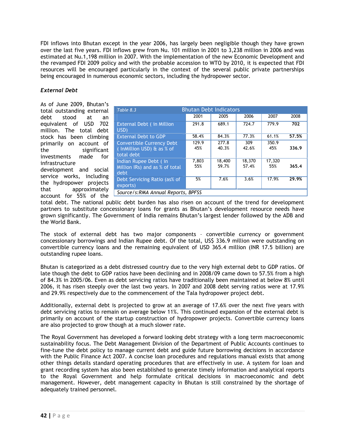FDI inflows into Bhutan except in the year 2006, has largely been negligible though they have grown over the last five years. FDI inflows grew from Nu. 101 million in 2001 to 3,238 million in 2006 and was estimated at Nu.1,198 million in 2007. With the implementation of the new Economic Development and the revamped FDI 2009 policy and with the probable accession to WTO by 2010, it is expected that FDI resources will be encouraged particularly in the context of the several public private partnerships being encouraged in numerous economic sectors, including the hydropower sector.

# External Debt

As of June 2009, Bhutan's total outstanding external debt stood at an equivalent of USD 702 million. The total debt stock has been climbing primarily on account of the significant investments made for infrastructure development and social service works, including the hydropower projects that approximately account for 55% of the

| <b>Bhutan Debt Indicators</b><br>Table 8.3                                  |              |                 |                 |               |       |  |  |  |  |
|-----------------------------------------------------------------------------|--------------|-----------------|-----------------|---------------|-------|--|--|--|--|
|                                                                             | 2001         | 2005            | 2006            | 2007          | 2008  |  |  |  |  |
| <b>External Debt (in Million</b><br>USD)                                    | 291.8        | 689.1           | 724.7           | 779.9         | 702   |  |  |  |  |
| <b>External Debt to GDP</b>                                                 | 58.4%        | 84.3%           | 77.3%           | 61.1%         | 57.5% |  |  |  |  |
| <b>Convertible Currency Debt</b><br>(InMillion USD) & as % of<br>total debt | 129.9<br>45% | 277.8<br>40.3%  | 309<br>42.6%    | 350.9<br>45%  | 336.9 |  |  |  |  |
| Indian Rupee Debt (in<br>Million IRs) and as % of total<br>debt             | 7,803<br>55% | 18,400<br>59.7% | 18,370<br>57.4% | 17.320<br>55% | 365.4 |  |  |  |  |
| Debt Servicing Ratio (as% of<br>exports)                                    | 5%           | 7.6%            | 3.6%            | 17.9%         | 29.9% |  |  |  |  |
| Source/s:RMA Annual Reports, BPFSS                                          |              |                 |                 |               |       |  |  |  |  |

total debt. The national public debt burden has also risen on account of the trend for development partners to substitute concessionary loans for grants as Bhutan's development resource needs have grown significantly. The Government of India remains Bhutan's largest lender followed by the ADB and the World Bank.

The stock of external debt has two major components – convertible currency or government concessionary borrowings and Indian Rupee debt. Of the total, US\$ 336.9 million were outstanding on convertible currency loans and the remaining equivalent of USD 365.4 million (INR 17.5 billion) are outstanding rupee loans.

Bhutan is categorized as a debt distressed country due to the very high external debt to GDP ratios. Of late though the debt to GDP ratios have been declining and in 2008/09 came down to 57.5% from a high of 84.3% in 2005/06. Even as debt servicing ratios have traditionally been maintained at below 8% until 2006, it has risen steeply over the last two years. In 2007 and 2008 debt serving ratios were at 17.9% and 29.9% respectively due to the commencement of the Tala hydropower project debt.

Additionally, external debt is projected to grow at an average of 17.6% over the next five years with debt servicing ratios to remain on average below 11%. This continued expansion of the external debt is primarily on account of the startup construction of hydropower projects. Convertible currency loans are also projected to grow though at a much slower rate.

The Royal Government has developed a forward looking debt strategy with a long term macroeconomic sustainability focus. The Debt Management Division of the Department of Public Accounts continues to fine-tune the debt policy to manage current debt and guide future borrowing decisions in accordance with the Public Finance Act 2007. A concise loan procedures and regulations manual exists that among other things details standard operating procedures that are effectively in use. A system for loan and grant recording system has also been established to generate timely information and analytical reports to the Royal Government and help formulate critical decisions in macroeconomic and debt management. However, debt management capacity in Bhutan is still constrained by the shortage of adequately trained personnel.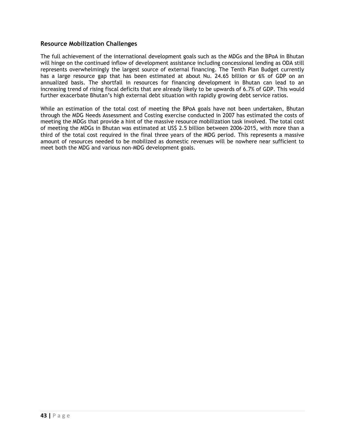# Resource Mobilization Challenges

The full achievement of the international development goals such as the MDGs and the BPoA in Bhutan will hinge on the continued inflow of development assistance including concessional lending as ODA still represents overwhelmingly the largest source of external financing. The Tenth Plan Budget currently has a large resource gap that has been estimated at about Nu. 24.65 billion or 6% of GDP on an annualized basis. The shortfall in resources for financing development in Bhutan can lead to an increasing trend of rising fiscal deficits that are already likely to be upwards of 6.7% of GDP. This would further exacerbate Bhutan's high external debt situation with rapidly growing debt service ratios.

While an estimation of the total cost of meeting the BPoA goals have not been undertaken, Bhutan through the MDG Needs Assessment and Costing exercise conducted in 2007 has estimated the costs of meeting the MDGs that provide a hint of the massive resource mobilization task involved. The total cost of meeting the MDGs in Bhutan was estimated at US\$ 2.5 billion between 2006-2015, with more than a third of the total cost required in the final three years of the MDG period. This represents a massive amount of resources needed to be mobilized as domestic revenues will be nowhere near sufficient to meet both the MDG and various non-MDG development goals.